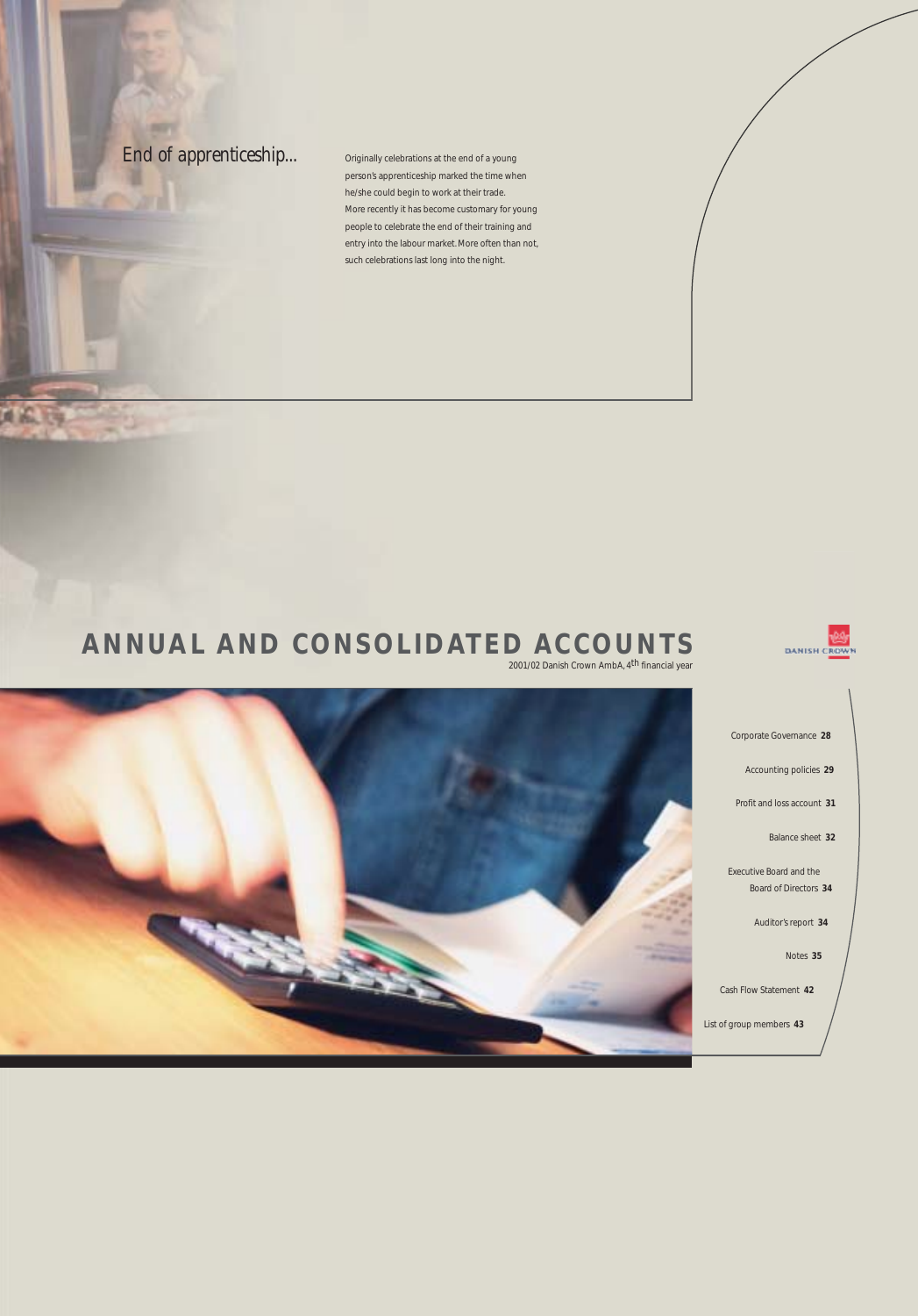**End of apprenticeship...** Originally celebrations at the end of a young

**Star Little** 

A 6.

person's apprenticeship marked the time when he/she could begin to work at their trade. More recently it has become customary for young people to celebrate the end of their training and entry into the labour market. More often than not, such celebrations last long into the night.

# **ANNUAL AND CONSOLIDATED ACCOUNTS**

2001/02 Danish Crown AmbA, 4th financial year

Notes **35**

DANISH C<mark>ROW</mark>N

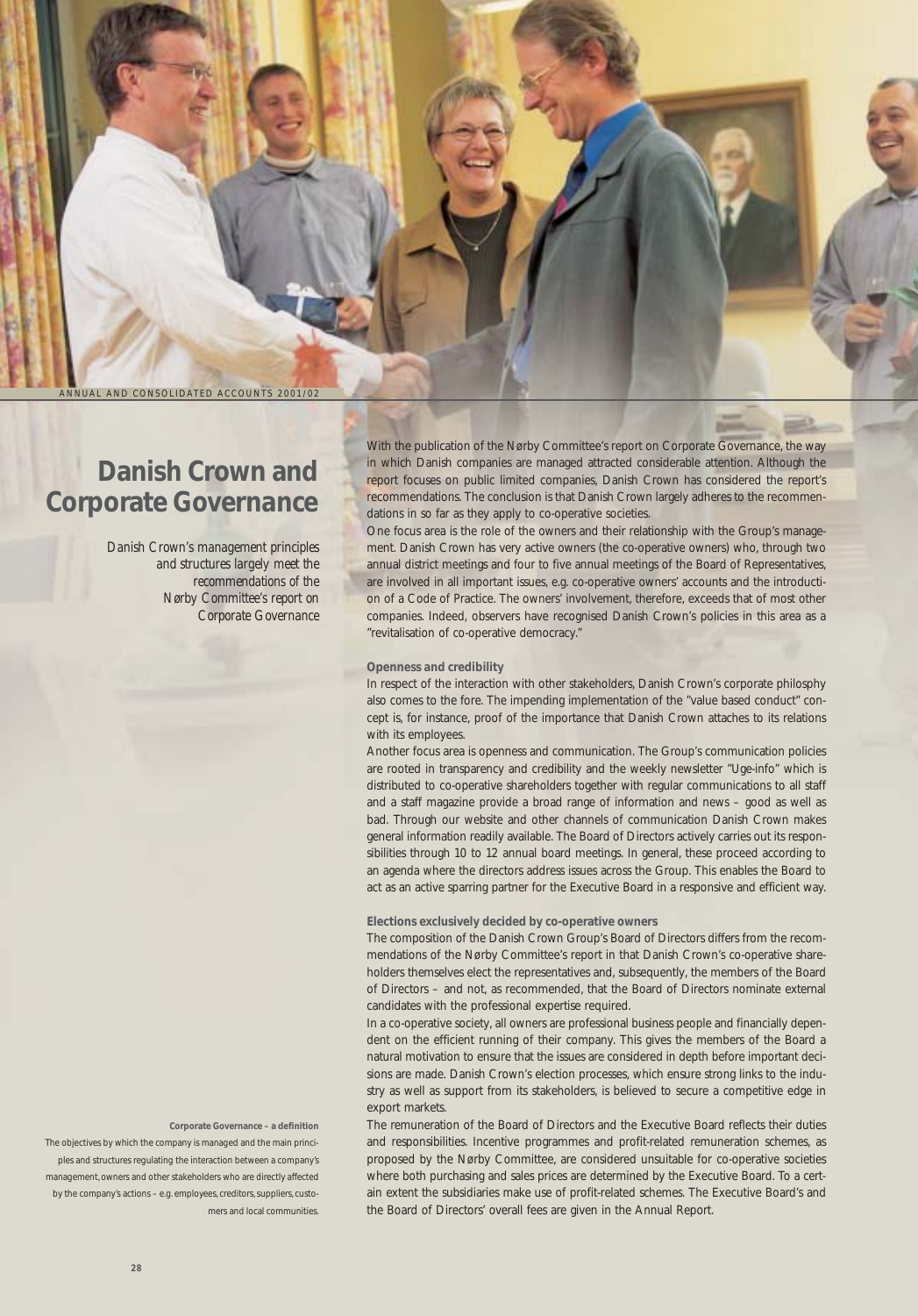ANNUAL AND CONSOLIDATED ACCOUNTS 2001/02

## **Danish Crown and Corporate Governance**

*Danish Crown's management principles and structures largely meet the recommendations of the Nørby Committee's report on Corporate Governance* With the publication of the Nørby Committee's report on Corporate Governance, the way in which Danish companies are managed attracted considerable attention. Although the report focuses on public limited companies, Danish Crown has considered the report's recommendations. The conclusion is that Danish Crown largely adheres to the recommendations in so far as they apply to co-operative societies.

One focus area is the role of the owners and their relationship with the Group's management. Danish Crown has very active owners (the co-operative owners) who, through two annual district meetings and four to five annual meetings of the Board of Representatives, are involved in all important issues, e.g. co-operative owners' accounts and the introduction of a Code of Practice. The owners' involvement, therefore, exceeds that of most other companies. Indeed, observers have recognised Danish Crown's policies in this area as a "revitalisation of co-operative democracy."

### **Openness and credibility**

In respect of the interaction with other stakeholders, Danish Crown's corporate philosphy also comes to the fore. The impending implementation of the "value based conduct" concept is, for instance, proof of the importance that Danish Crown attaches to its relations with its employees.

Another focus area is openness and communication. The Group's communication policies are rooted in transparency and credibility and the weekly newsletter "Uge-info" which is distributed to co-operative shareholders together with regular communications to all staff and a staff magazine provide a broad range of information and news – good as well as bad. Through our website and other channels of communication Danish Crown makes general information readily available. The Board of Directors actively carries out its responsibilities through 10 to 12 annual board meetings. In general, these proceed according to an agenda where the directors address issues across the Group. This enables the Board to act as an active sparring partner for the Executive Board in a responsive and efficient way.

### **Elections exclusively decided by co-operative owners**

The composition of the Danish Crown Group's Board of Directors differs from the recommendations of the Nørby Committee's report in that Danish Crown's co-operative shareholders themselves elect the representatives and, subsequently, the members of the Board of Directors – and not, as recommended, that the Board of Directors nominate external candidates with the professional expertise required.

In a co-operative society, all owners are professional business people and financially dependent on the efficient running of their company. This gives the members of the Board a natural motivation to ensure that the issues are considered in depth before important decisions are made. Danish Crown's election processes, which ensure strong links to the industry as well as support from its stakeholders, is believed to secure a competitive edge in export markets.

The remuneration of the Board of Directors and the Executive Board reflects their duties and responsibilities. Incentive programmes and profit-related remuneration schemes, as proposed by the Nørby Committee, are considered unsuitable for co-operative societies where both purchasing and sales prices are determined by the Executive Board. To a certain extent the subsidiaries make use of profit-related schemes. The Executive Board's and the Board of Directors' overall fees are given in the Annual Report.

**Corporate Governance – a definition**

The objectives by which the company is managed and the main principles and structures regulating the interaction between a company's management, owners and other stakeholders who are directly affected by the company's actions – e.g. employees, creditors, suppliers, customers and local communities.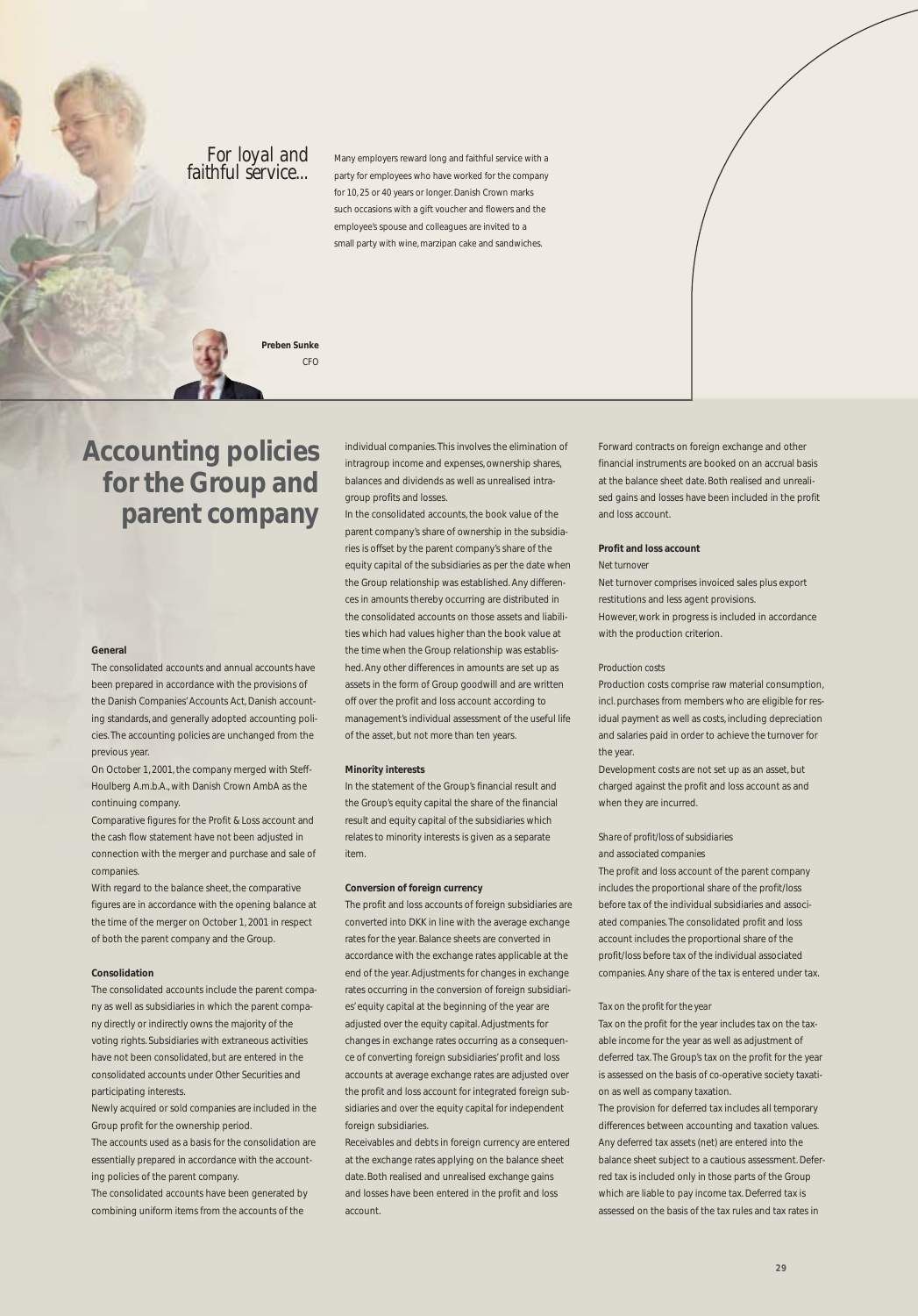*For loyal and* Many employers reward long and faithful service with a<br>*faithful service...* party for employees who have worked for the company party for employees who have worked for the company for 10, 25 or 40 years or longer. Danish Crown marks such occasions with a gift voucher and flowers and the employee's spouse and colleagues are invited to a small party with wine, marzipan cake and sandwiches.



 $CED$ 

### **Accounting policies for the Group and parent company**

individual companies. This involves the elimination of intragroup income and expenses, ownership shares, balances and dividends as well as unrealised intragroup profits and losses.

In the consolidated accounts, the book value of the parent company's share of ownership in the subsidiaries is offset by the parent company's share of the equity capital of the subsidiaries as per the date when the Group relationship was established. Any differences in amounts thereby occurring are distributed in the consolidated accounts on those assets and liabilities which had values higher than the book value at the time when the Group relationship was established. Any other differences in amounts are set up as assets in the form of Group goodwill and are written off over the profit and loss account according to management's individual assessment of the useful life of the asset, but not more than ten years.

#### **Minority interests**

In the statement of the Group's financial result and the Group's equity capital the share of the financial result and equity capital of the subsidiaries which relates to minority interests is given as a separate item.

#### **Conversion of foreign currency**

The profit and loss accounts of foreign subsidiaries are converted into DKK in line with the average exchange rates for the year. Balance sheets are converted in accordance with the exchange rates applicable at the end of the year. Adjustments for changes in exchange rates occurring in the conversion of foreign subsidiaries' equity capital at the beginning of the year are adjusted over the equity capital. Adjustments for changes in exchange rates occurring as a consequence of converting foreign subsidiaries' profit and loss accounts at average exchange rates are adjusted over the profit and loss account for integrated foreign subsidiaries and over the equity capital for independent foreign subsidiaries.

Receivables and debts in foreign currency are entered at the exchange rates applying on the balance sheet date. Both realised and unrealised exchange gains and losses have been entered in the profit and loss account.

Forward contracts on foreign exchange and other financial instruments are booked on an accrual basis at the balance sheet date. Both realised and unrealised gains and losses have been included in the profit and loss account.

### **Profit and loss account**

### *Net turnover*

Net turnover comprises invoiced sales plus export restitutions and less agent provisions. However, work in progress is included in accordance with the production criterion.

### *Production costs*

Production costs comprise raw material consumption, incl. purchases from members who are eligible for residual payment as well as costs, including depreciation and salaries paid in order to achieve the turnover for the year.

Development costs are not set up as an asset, but charged against the profit and loss account as and when they are incurred.

### *Share of profit/loss of subsidiaries*

*and associated companies*

The profit and loss account of the parent company includes the proportional share of the profit/loss before tax of the individual subsidiaries and associated companies. The consolidated profit and loss account includes the proportional share of the profit/loss before tax of the individual associated companies. Any share of the tax is entered under tax.

#### *Tax on the profit for the year*

Tax on the profit for the year includes tax on the taxable income for the year as well as adjustment of deferred tax. The Group's tax on the profit for the year is assessed on the basis of co-operative society taxation as well as company taxation.

The provision for deferred tax includes all temporary differences between accounting and taxation values. Any deferred tax assets (net) are entered into the balance sheet subject to a cautious assessment. Deferred tax is included only in those parts of the Group which are liable to pay income tax. Deferred tax is assessed on the basis of the tax rules and tax rates in

#### **General**

The consolidated accounts and annual accounts have been prepared in accordance with the provisions of the Danish Companies' Accounts Act, Danish accounting standards, and generally adopted accounting policies. The accounting policies are unchanged from the previous year.

On October 1, 2001, the company merged with Steff-Houlberg A.m.b.A., with Danish Crown AmbA as the continuing company.

Comparative figures for the Profit & Loss account and the cash flow statement have not been adjusted in connection with the merger and purchase and sale of companies.

With regard to the balance sheet, the comparative figures are in accordance with the opening balance at the time of the merger on October 1, 2001 in respect of both the parent company and the Group.

#### **Consolidation**

The consolidated accounts include the parent company as well as subsidiaries in which the parent company directly or indirectly owns the majority of the voting rights. Subsidiaries with extraneous activities have not been consolidated, but are entered in the consolidated accounts under Other Securities and participating interests.

Newly acquired or sold companies are included in the Group profit for the ownership period.

The accounts used as a basis for the consolidation are essentially prepared in accordance with the accounting policies of the parent company.

The consolidated accounts have been generated by combining uniform items from the accounts of the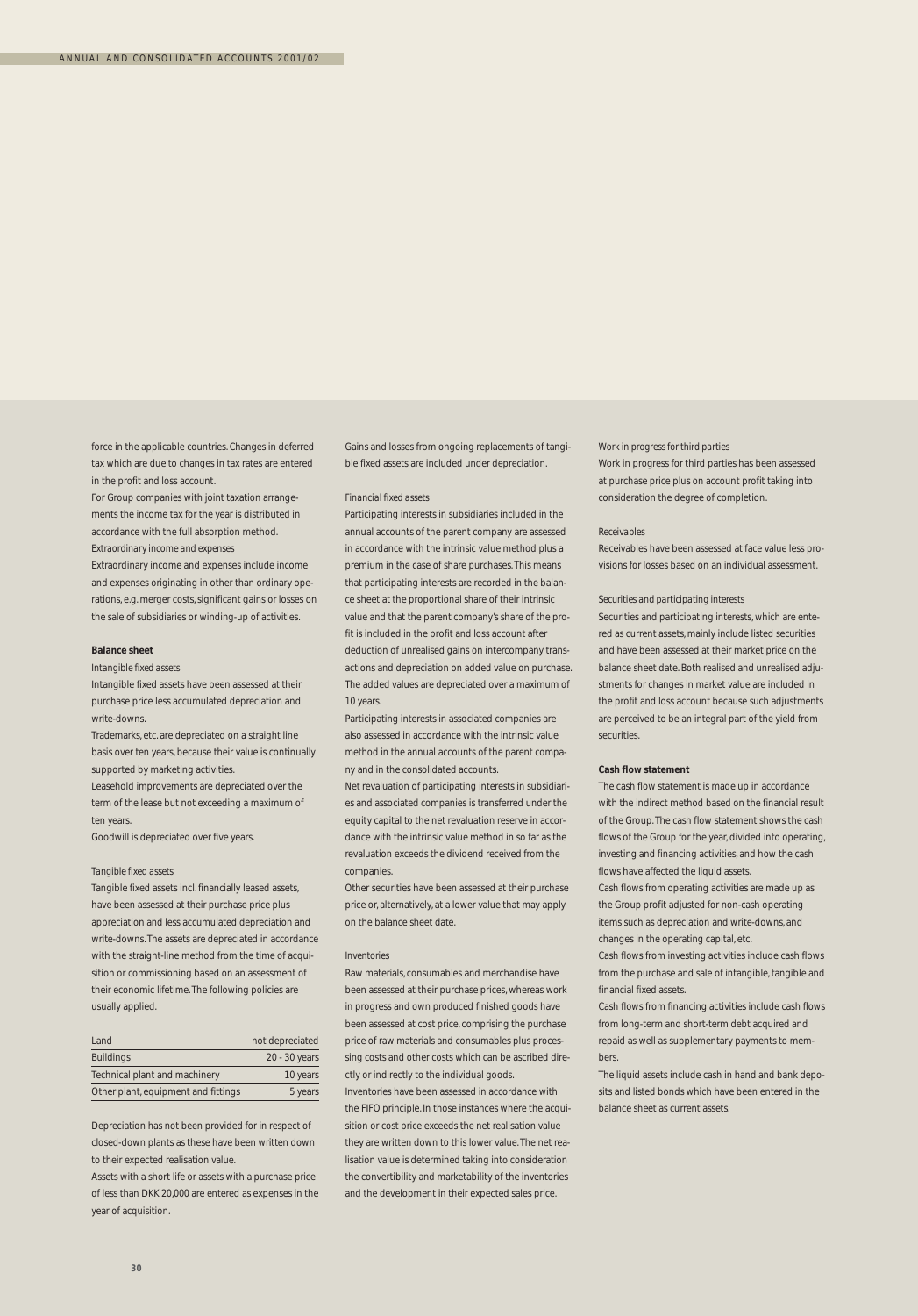force in the applicable countries. Changes in deferred tax which are due to changes in tax rates are entered in the profit and loss account.

For Group companies with joint taxation arrangements the income tax for the year is distributed in accordance with the full absorption method. *Extraordinary income and expenses*

Extraordinary income and expenses include income and expenses originating in other than ordinary operations, e.g. merger costs, significant gains or losses on the sale of subsidiaries or winding-up of activities.

#### **Balance sheet**

*Intangible fixed assets*

Intangible fixed assets have been assessed at their purchase price less accumulated depreciation and write-downs.

Trademarks, etc. are depreciated on a straight line basis over ten years, because their value is continually supported by marketing activities.

Leasehold improvements are depreciated over the term of the lease but not exceeding a maximum of ten years.

Goodwill is depreciated over five years.

#### *Tangible fixed assets*

Tangible fixed assets incl. financially leased assets, have been assessed at their purchase price plus appreciation and less accumulated depreciation and write-downs. The assets are depreciated in accordance with the straight-line method from the time of acquisition or commissioning based on an assessment of their economic lifetime. The following policies are usually applied.

| Land                                | not depreciated |
|-------------------------------------|-----------------|
| <b>Buildings</b>                    | 20 - 30 years   |
| Technical plant and machinery       | 10 years        |
| Other plant, equipment and fittings | 5 years         |

Depreciation has not been provided for in respect of closed-down plants as these have been written down to their expected realisation value.

Assets with a short life or assets with a purchase price of less than DKK 20,000 are entered as expenses in the year of acquisition.

Gains and losses from ongoing replacements of tangible fixed assets are included under depreciation.

#### *Financial fixed assets*

Participating interests in subsidiaries included in the annual accounts of the parent company are assessed in accordance with the intrinsic value method plus a premium in the case of share purchases. This means that participating interests are recorded in the balance sheet at the proportional share of their intrinsic value and that the parent company's share of the profit is included in the profit and loss account after deduction of unrealised gains on intercompany transactions and depreciation on added value on purchase. The added values are depreciated over a maximum of 10 years.

Participating interests in associated companies are also assessed in accordance with the intrinsic value method in the annual accounts of the parent company and in the consolidated accounts.

Net revaluation of participating interests in subsidiaries and associated companies is transferred under the equity capital to the net revaluation reserve in accordance with the intrinsic value method in so far as the revaluation exceeds the dividend received from the companies.

Other securities have been assessed at their purchase price or, alternatively, at a lower value that may apply on the balance sheet date.

#### *Inventories*

Raw materials, consumables and merchandise have been assessed at their purchase prices, whereas work in progress and own produced finished goods have been assessed at cost price, comprising the purchase price of raw materials and consumables plus processing costs and other costs which can be ascribed directly or indirectly to the individual goods.

Inventories have been assessed in accordance with the FIFO principle. In those instances where the acquisition or cost price exceeds the net realisation value they are written down to this lower value. The net realisation value is determined taking into consideration the convertibility and marketability of the inventories and the development in their expected sales price.

*Work in progress for third parties*

Work in progress for third parties has been assessed at purchase price plus on account profit taking into consideration the degree of completion.

#### *Receivables*

Receivables have been assessed at face value less provisions for losses based on an individual assessment.

#### *Securities and participating interests*

Securities and participating interests, which are entered as current assets, mainly include listed securities and have been assessed at their market price on the balance sheet date. Both realised and unrealised adjustments for changes in market value are included in the profit and loss account because such adjustments are perceived to be an integral part of the yield from securities.

#### **Cash flow statement**

The cash flow statement is made up in accordance with the indirect method based on the financial result of the Group. The cash flow statement shows the cash flows of the Group for the year, divided into operating, investing and financing activities, and how the cash flows have affected the liquid assets.

Cash flows from operating activities are made up as the Group profit adjusted for non-cash operating items such as depreciation and write-downs, and changes in the operating capital, etc.

Cash flows from investing activities include cash flows from the purchase and sale of intangible, tangible and financial fixed assets.

Cash flows from financing activities include cash flows from long-term and short-term debt acquired and repaid as well as supplementary payments to members.

The liquid assets include cash in hand and bank deposits and listed bonds which have been entered in the balance sheet as current assets.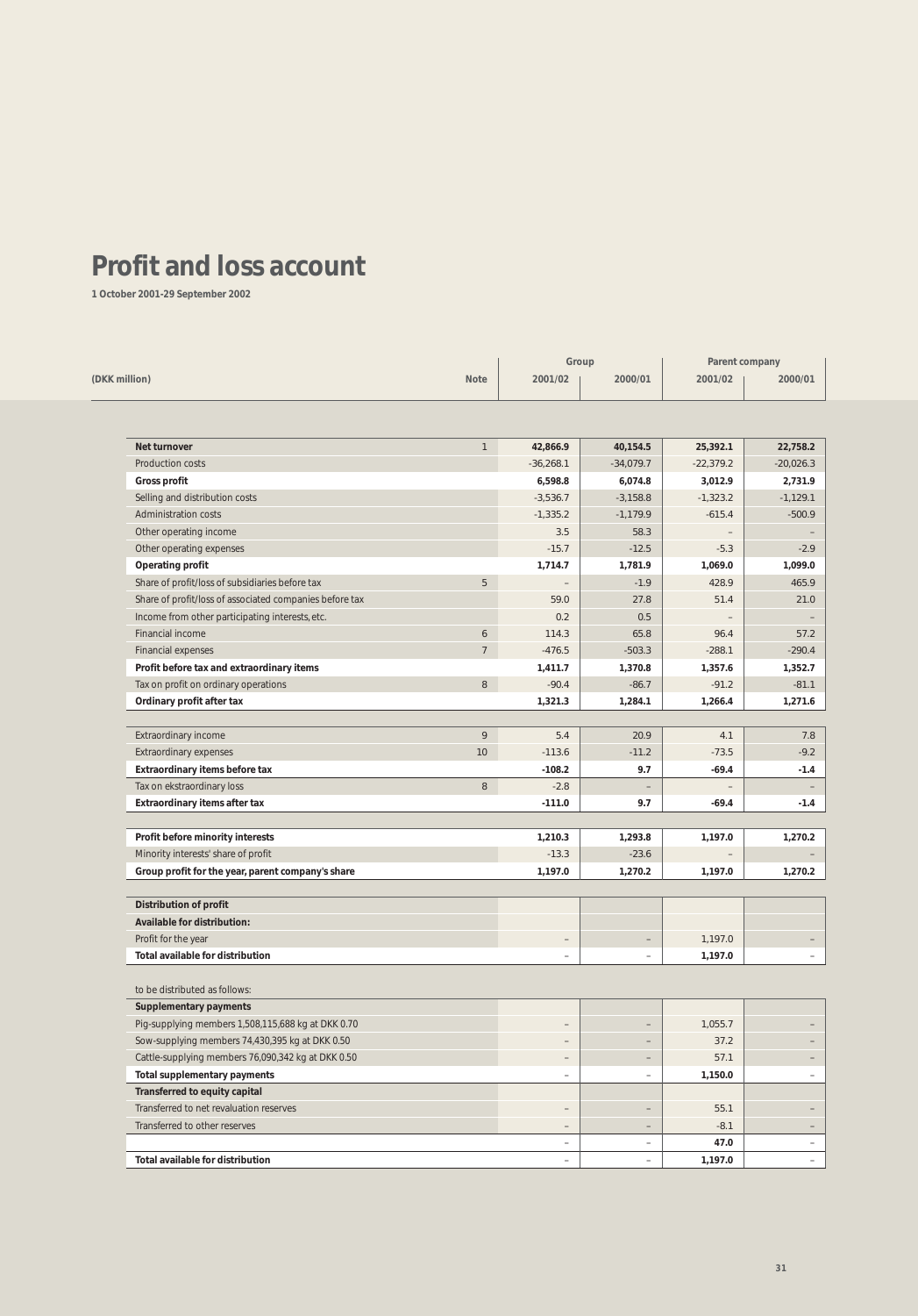## **Profit and loss account**

**1 October 2001-29 September 2002**

|                                                         | Group            |                          |                          | Parent company |             |  |
|---------------------------------------------------------|------------------|--------------------------|--------------------------|----------------|-------------|--|
| (DKK million)                                           | <b>Note</b>      | 2001/02                  | 2000/01                  | 2001/02        | 2000/01     |  |
|                                                         |                  |                          |                          |                |             |  |
| <b>Net turnover</b>                                     | $\mathbf{1}$     | 42,866.9                 | 40,154.5                 | 25,392.1       | 22,758.2    |  |
| Production costs                                        |                  | $-36,268.1$              | $-34,079.7$              | $-22,379.2$    | $-20,026.3$ |  |
| <b>Gross profit</b>                                     |                  | 6,598.8                  | 6,074.8                  | 3,012.9        | 2,731.9     |  |
| Selling and distribution costs                          |                  | $-3,536.7$               | $-3,158.8$               | $-1,323.2$     | $-1,129.1$  |  |
| <b>Administration costs</b>                             |                  | $-1,335.2$               | $-1,179.9$               | $-615.4$       | $-500.9$    |  |
| Other operating income                                  |                  | 3.5                      | 58.3                     |                |             |  |
| Other operating expenses                                |                  | $-15.7$                  | $-12.5$                  | $-5.3$         |             |  |
| <b>Operating profit</b>                                 |                  | 1,714.7                  | 1,781.9                  | 1,069.0        | 1,099.0     |  |
| Share of profit/loss of subsidiaries before tax         | 5                | $\qquad \qquad -$        | $-1.9$                   | 428.9          | 465.9       |  |
| Share of profit/loss of associated companies before tax |                  | 59.0                     | 27.8                     | 51.4           | 21.0        |  |
| Income from other participating interests, etc.         |                  | 0.2                      | 0.5                      |                |             |  |
| Financial income                                        | $\boldsymbol{6}$ | 114.3                    | 65.8                     | 96.4           | 57.2        |  |
| <b>Financial expenses</b>                               | $\overline{7}$   | $-476.5$                 | $-503.3$                 | $-288.1$       | $-290.4$    |  |
| Profit before tax and extraordinary items               |                  | 1,411.7                  | 1,370.8                  | 1,357.6        | 1,352.7     |  |
| Tax on profit on ordinary operations                    | $\, 8$           | $-90.4$                  | $-86.7$                  | $-91.2$        | $-81.1$     |  |
| Ordinary profit after tax                               |                  | 1,321.3                  | 1,284.1                  | 1,266.4        | 1,271.6     |  |
|                                                         |                  |                          |                          |                |             |  |
| Extraordinary income                                    | 9                | 5.4                      | 20.9                     | 4.1            |             |  |
| <b>Extraordinary expenses</b>                           | 10               | $-113.6$                 | $-11.2$                  | $-73.5$        |             |  |
| Extraordinary items before tax                          |                  | $-108.2$                 | 9.7                      | $-69.4$        |             |  |
| Tax on ekstraordinary loss                              | $\, 8$           | $-2.8$                   |                          |                |             |  |
| Extraordinary items after tax                           |                  | $-111.0$                 | 9.7                      | $-69.4$        |             |  |
|                                                         |                  |                          |                          |                |             |  |
| Profit before minority interests                        |                  | 1,210.3                  | 1,293.8                  | 1,197.0        | 1,270.2     |  |
| Minority interests' share of profit                     |                  | $-13.3$                  | $-23.6$                  |                |             |  |
| Group profit for the year, parent company's share       |                  | 1,197.0                  | 1,270.2                  | 1,197.0        | 1,270.2     |  |
| Distribution of profit                                  |                  |                          |                          |                |             |  |
| Available for distribution:                             |                  |                          |                          |                |             |  |
| Profit for the year                                     |                  | $\overline{\phantom{0}}$ | $\qquad \qquad -$        | 1,197.0        |             |  |
| <b>Total available for distribution</b>                 |                  | $\qquad \qquad -$        | $\overline{\phantom{0}}$ | 1,197.0        |             |  |
| to be distributed as follows:                           |                  |                          |                          |                |             |  |
| <b>Supplementary payments</b>                           |                  |                          |                          |                |             |  |
| Pig-supplying members 1,508,115,688 kg at DKK 0.70      |                  | $\qquad \qquad -$        | $\qquad \qquad -$        | 1,055.7        |             |  |
| Sow-supplying members 74,430,395 kg at DKK 0.50         |                  |                          |                          | 37.2           |             |  |
| Cattle-supplying members 76,090,342 kg at DKK 0.50      |                  | $\overline{\phantom{0}}$ | $\qquad \qquad -$        | 57.1           |             |  |
| Total supplementary payments                            |                  | $\overline{\phantom{a}}$ | $\overline{\phantom{a}}$ | 1,150.0        |             |  |
| Transferred to equity capital                           |                  |                          |                          |                |             |  |
| Transferred to net revaluation reserves                 |                  | $\qquad \qquad -$        | $\overline{\phantom{a}}$ | 55.1           |             |  |
| Transferred to other reserves                           |                  | $\qquad \qquad -$        | $\qquad \qquad -$        | $-8.1$         |             |  |
|                                                         |                  | $\overline{\phantom{0}}$ | $\overline{\phantom{a}}$ | 47.0           |             |  |
| Total available for distribution                        |                  | $\overline{\phantom{0}}$ | $\overline{\phantom{a}}$ | 1,197.0        |             |  |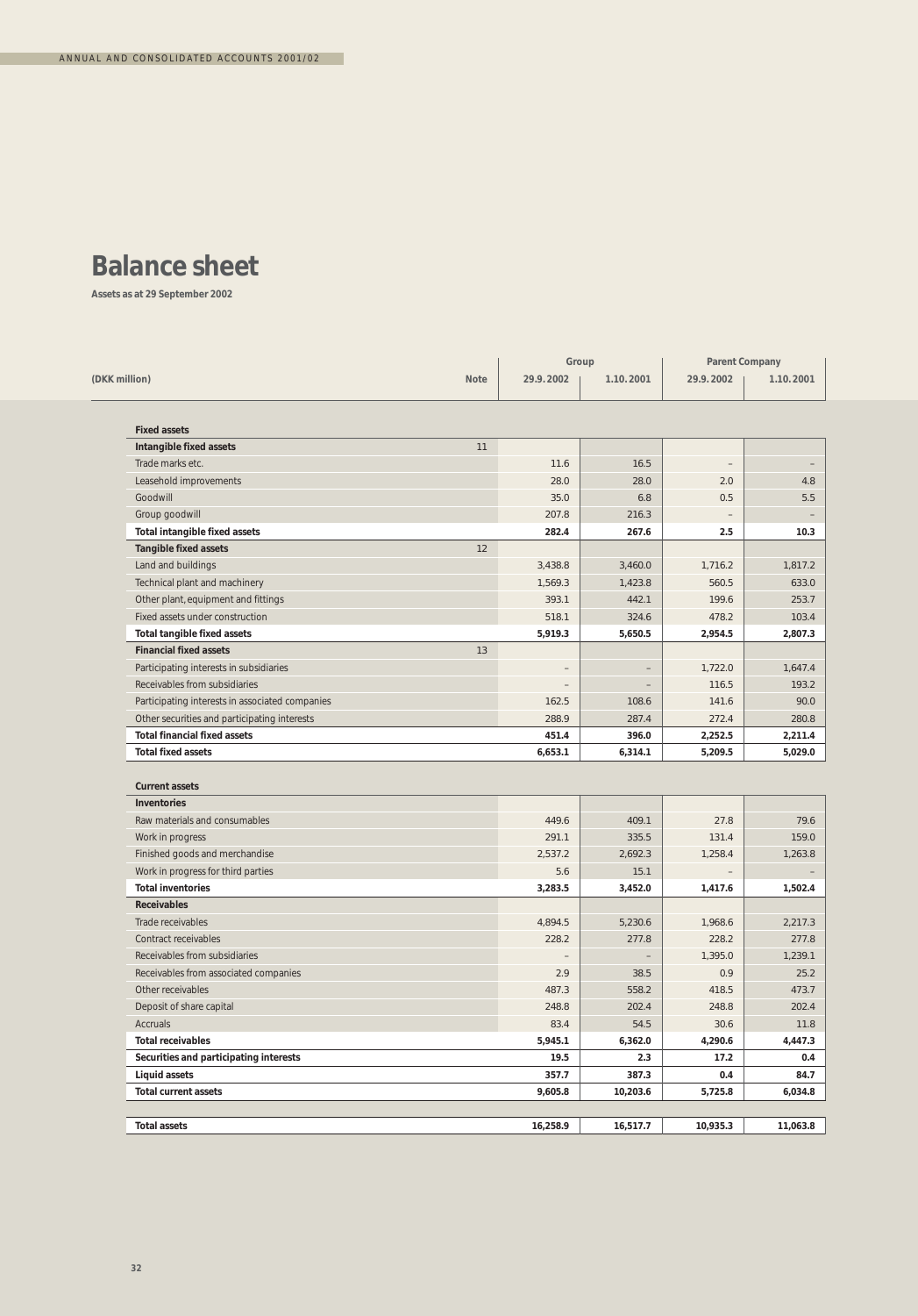## **Balance sheet**

**Assets as at 29 September 2002**

|                                                 |             | Group     |                   | <b>Parent Company</b> |           |
|-------------------------------------------------|-------------|-----------|-------------------|-----------------------|-----------|
| (DKK million)                                   | <b>Note</b> | 29.9.2002 | 1.10.2001         | 29.9.2002             | 1.10.2001 |
| <b>Fixed assets</b>                             |             |           |                   |                       |           |
| Intangible fixed assets                         | 11          |           |                   |                       |           |
| Trade marks etc.                                |             | 11.6      | 16.5              |                       |           |
| Leasehold improvements                          |             | 28.0      | 28.0              | 2.0                   |           |
| Goodwill                                        |             | 35.0      | 6.8               | 0.5                   |           |
| Group goodwill                                  |             | 207.8     | 216.3             |                       |           |
| Total intangible fixed assets                   |             | 282.4     | 267.6             | 2.5                   | 10.3      |
| <b>Tangible fixed assets</b>                    | 12          |           |                   |                       |           |
| Land and buildings                              |             | 3,438.8   | 3,460.0           | 1,716.2               | 1,817.2   |
| Technical plant and machinery                   |             | 1,569.3   | 1,423.8           | 560.5                 | 633.0     |
| Other plant, equipment and fittings             |             | 393.1     | 442.1             | 199.6                 | 253.7     |
| Fixed assets under construction                 |             | 518.1     | 324.6             | 478.2                 | 103.4     |
| <b>Total tangible fixed assets</b>              |             | 5,919.3   | 5,650.5           | 2,954.5               | 2,807.3   |
| <b>Financial fixed assets</b>                   | 13          |           |                   |                       |           |
| Participating interests in subsidiaries         |             |           | $\qquad \qquad -$ | 1,722.0               | 1,647.4   |
| Receivables from subsidiaries                   |             |           | $\qquad \qquad -$ | 116.5                 | 193.2     |
| Participating interests in associated companies |             | 162.5     | 108.6             | 141.6                 | 90.0      |
| Other securities and participating interests    |             | 288.9     | 287.4             | 272.4                 | 280.8     |
| <b>Total financial fixed assets</b>             |             | 451.4     | 396.0             | 2,252.5               | 2,211.4   |
| <b>Total fixed assets</b>                       |             | 6,653.1   | 6,314.1           | 5,209.5               | 5,029.0   |
| <b>Current assets</b><br><b>Inventories</b>     |             |           |                   |                       |           |
| Raw materials and consumables                   |             | 449.6     | 409.1             | 27.8                  | 79.6      |
| Work in progress                                |             | 291.1     | 335.5             | 131.4                 | 159.0     |
| Finished goods and merchandise                  |             | 2,537.2   | 2,692.3           | 1,258.4               | 1,263.8   |
| Work in progress for third parties              |             | 5.6       | 15.1              |                       |           |
| <b>Total inventories</b>                        |             | 3,283.5   | 3,452.0           | 1,417.6               | 1,502.4   |
| <b>Receivables</b>                              |             |           |                   |                       |           |
| Trade receivables                               |             | 4,894.5   | 5,230.6           | 1,968.6               | 2,217.3   |
| Contract receivables                            |             | 228.2     | 277.8             | 228.2                 | 277.8     |
| Receivables from subsidiaries                   |             |           |                   | 1,395.0               | 1,239.1   |
| Receivables from associated companies           |             | 2.9       | 38.5              | 0.9                   | 25.2      |
| Other receivables                               |             | 487.3     | 558.2             | 418.5                 | 473.7     |
| Deposit of share capital                        |             | 248.8     | 202.4             | 248.8                 | 202.4     |
| <b>Accruals</b>                                 |             | 83.4      | 54.5              | 30.6                  | 11.8      |
| <b>Total receivables</b>                        |             | 5,945.1   | 6,362.0           | 4,290.6               | 4,447.3   |
| Securities and participating interests          |             | 19.5      | 2.3               | 17.2                  |           |
| <b>Liquid assets</b>                            |             | 357.7     | 387.3             | 0.4                   | 84.7      |
| <b>Total current assets</b>                     |             | 9,605.8   | 10,203.6          | 5,725.8               | 6,034.8   |
|                                                 |             |           |                   |                       | 11,063.8  |
| <b>Total assets</b>                             |             | 16,258.9  | 16,517.7          | 10,935.3              |           |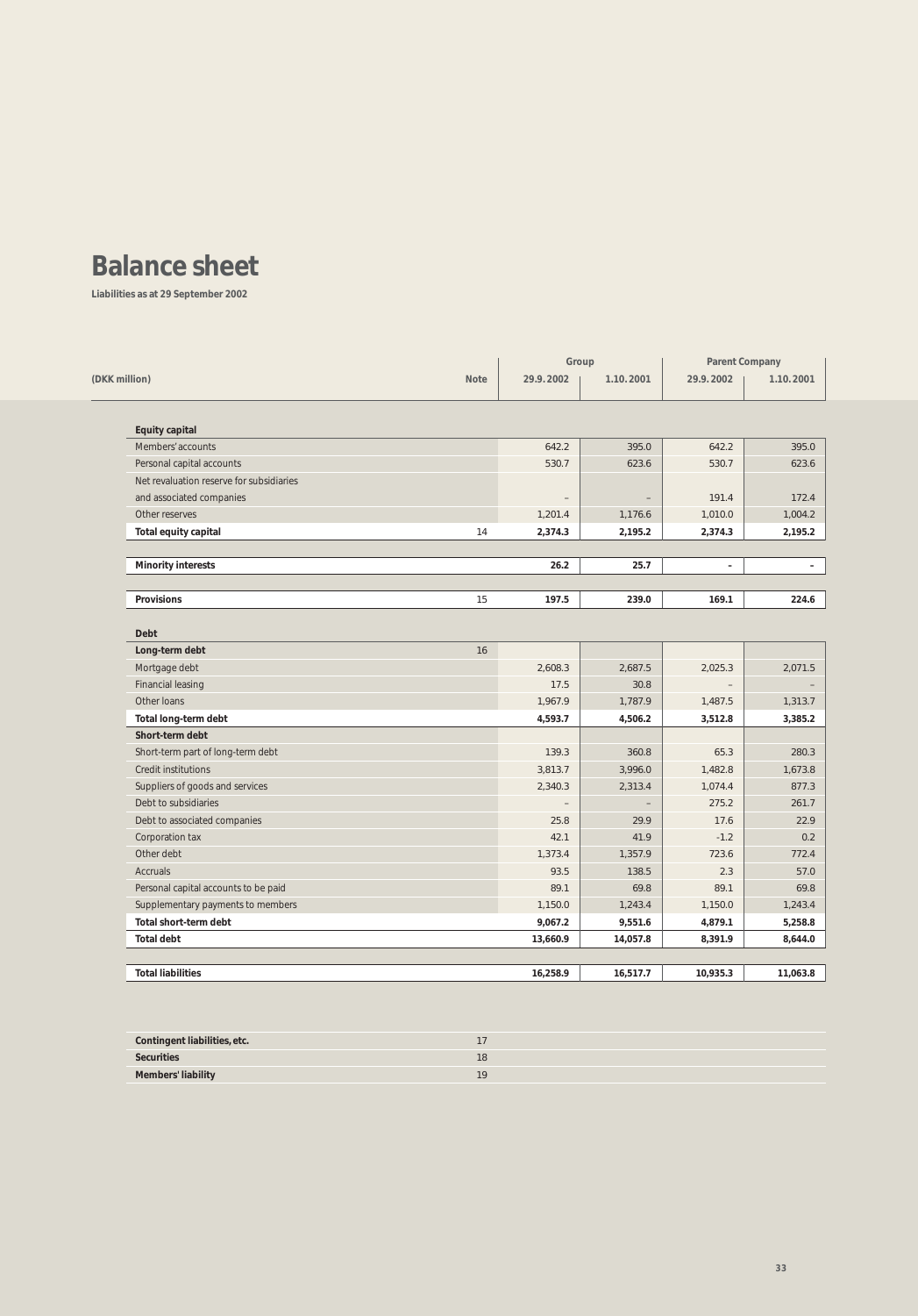## **Balance sheet**

**Liabilities as at 29 September 2002**

|                                          | Group                    |                          | <b>Parent Company</b> |           |
|------------------------------------------|--------------------------|--------------------------|-----------------------|-----------|
| (DKK million)<br><b>Note</b>             | 29.9.2002                | 1.10.2001                | 29.9.2002             | 1.10.2001 |
| <b>Equity capital</b>                    |                          |                          |                       |           |
| Members' accounts                        | 642.2                    | 395.0                    | 642.2                 | 395.0     |
| Personal capital accounts                | 530.7                    | 623.6                    | 530.7                 | 623.6     |
| Net revaluation reserve for subsidiaries |                          |                          |                       |           |
| and associated companies                 | $\qquad \qquad -$        | $\overline{\phantom{a}}$ | 191.4                 | 172.4     |
| Other reserves                           | 1,201.4                  | 1,176.6                  | 1,010.0               | 1,004.2   |
| Total equity capital<br>14               | 2,374.3                  | 2,195.2                  | 2,374.3               | 2,195.2   |
| <b>Minority interests</b>                | 26.2                     | 25.7                     | $\qquad \qquad -$     |           |
| <b>Provisions</b><br>15                  | 197.5                    | 239.0                    | 169.1                 | 224.6     |
|                                          |                          |                          |                       |           |
| <b>Debt</b>                              |                          |                          |                       |           |
| 16<br>Long-term debt                     |                          |                          |                       |           |
| Mortgage debt                            | 2,608.3                  | 2,687.5                  | 2,025.3               | 2,071.5   |
| <b>Financial leasing</b>                 | 17.5                     | 30.8                     |                       |           |
| Other Ioans                              | 1,967.9                  | 1,787.9                  | 1,487.5               | 1,313.7   |
| Total long-term debt                     | 4,593.7                  | 4,506.2                  | 3,512.8               | 3,385.2   |
| Short-term debt                          |                          |                          |                       |           |
| Short-term part of long-term debt        | 139.3                    | 360.8                    | 65.3                  | 280.3     |
| <b>Credit institutions</b>               | 3.813.7                  | 3.996.0                  | 1,482.8               | 1.673.8   |
| Suppliers of goods and services          | 2,340.3                  | 2,313.4                  | 1,074.4               | 877.3     |
| Debt to subsidiaries                     | $\overline{\phantom{0}}$ | $\equiv$                 | 275.2                 | 261.7     |
| Debt to associated companies             | 25.8                     | 29.9                     | 17.6                  | 22.9      |
| Corporation tax                          | 42.1                     | 41.9                     | $-1.2$                | 0.2       |
| Other debt                               | 1,373.4                  | 1,357.9                  | 723.6                 | 772.4     |
| <b>Accruals</b>                          | 93.5                     | 138.5                    | 2.3                   | 57.0      |
| Personal capital accounts to be paid     | 89.1                     | 69.8                     | 89.1                  | 69.8      |
| Supplementary payments to members        | 1,150.0                  | 1,243.4                  | 1,150.0               | 1,243.4   |
| <b>Total short-term debt</b>             | 9,067.2                  | 9,551.6                  | 4,879.1               | 5,258.8   |
| <b>Total debt</b>                        | 13,660.9                 | 14,057.8                 | 8,391.9               | 8,644.0   |
|                                          |                          |                          |                       |           |
| <b>Total liabilities</b>                 | 16,258.9                 | 16,517.7                 | 10,935.3              | 11,063.8  |

| Contingent liabilities, etc. |    |
|------------------------------|----|
| <b>Securities</b>            | 18 |
| <b>Members' liability</b>    | 10 |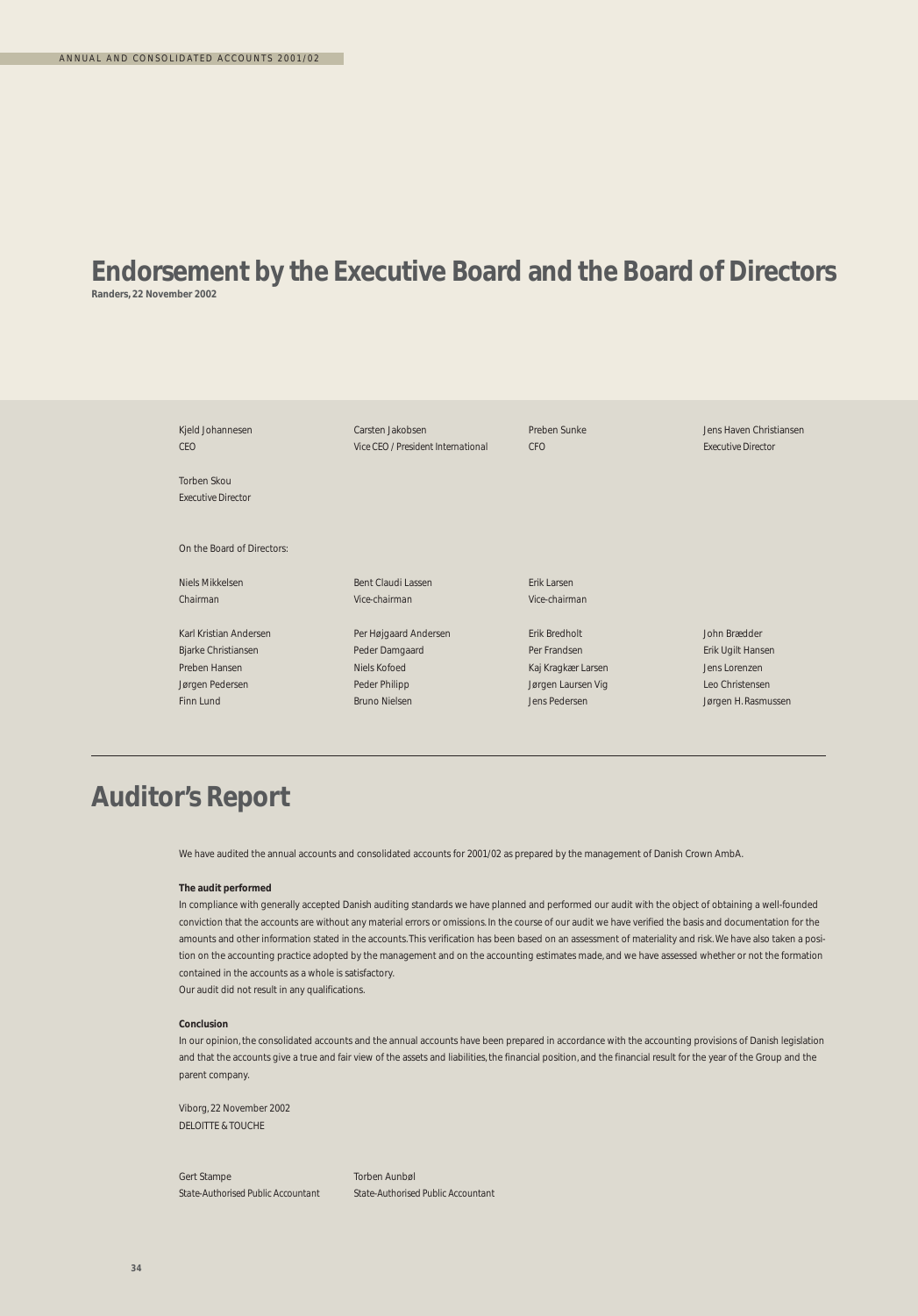### **Endorsement by the Executive Board and the Board of Directors Randers, 22 November 2002**

Kjeld Johannesen Carsten Jakobsen Preben Sunke Jens Haven Christiansen *CEO Vice CEO / President International CFO Executive Director* Torben Skou *Executive Director* On the Board of Directors: Niels Mikkelsen Bent Claudi Lassen Erik Larsen *Chairman Vice-chairman Vice-chairman* Karl Kristian Andersen Per Højgaard Andersen Erik Bredholt John Brædder Bjarke Christiansen Peder Damgaard Per Frandsen Erik Ugilt Hansen Preben Hansen Niels Kofoed Kaj Kragkær Larsen Jens Lorenzen Jørgen Pedersen Peder Philipp Jørgen Laursen Vig Leo Christensen Finn Lund Bruno Nielsen Jens Pedersen Jens Pedersen Jens Pedersen Jørgen H. Rasmussen

## **Auditor's Report**

We have audited the annual accounts and consolidated accounts for 2001/02 as prepared by the management of Danish Crown AmbA.

#### **The audit performed**

In compliance with generally accepted Danish auditing standards we have planned and performed our audit with the object of obtaining a well-founded conviction that the accounts are without any material errors or omissions. In the course of our audit we have verified the basis and documentation for the amounts and other information stated in the accounts. This verification has been based on an assessment of materiality and risk.We have also taken a position on the accounting practice adopted by the management and on the accounting estimates made, and we have assessed whether or not the formation contained in the accounts as a whole is satisfactory.

Our audit did not result in any qualifications.

#### **Conclusion**

In our opinion, the consolidated accounts and the annual accounts have been prepared in accordance with the accounting provisions of Danish legislation and that the accounts give a true and fair view of the assets and liabilities, the financial position, and the financial result for the year of the Group and the parent company.

Viborg, 22 November 2002 DELOITTE & TOUCHE

Gert Stampe Torben Aunbøl *State-Authorised Public Accountant State-Authorised Public Accountant*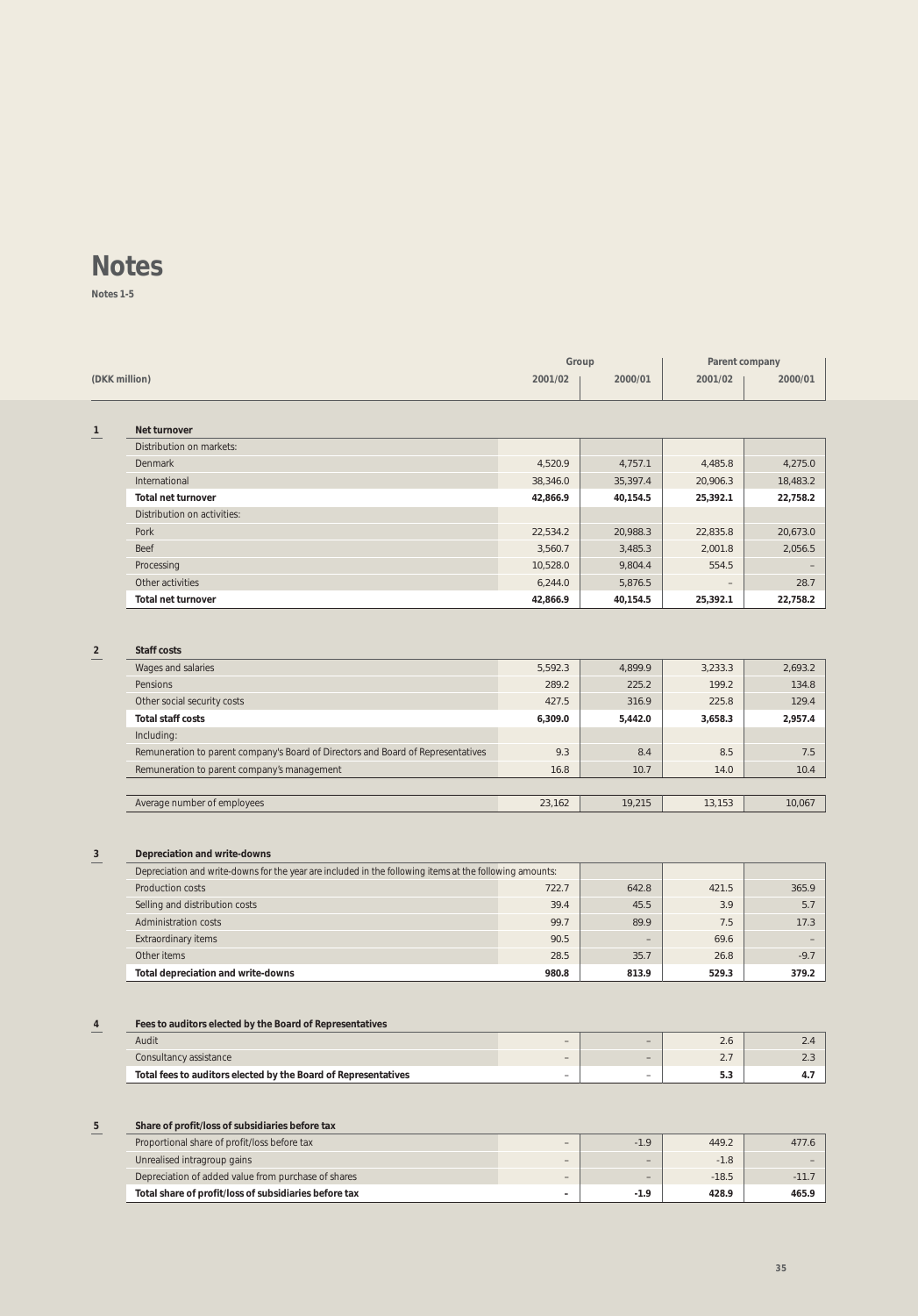**Notes 1-5**

|              |                             |          | Group    | Parent company    |          |
|--------------|-----------------------------|----------|----------|-------------------|----------|
|              | (DKK million)               |          | 2000/01  | 2001/02           | 2000/01  |
|              |                             |          |          |                   |          |
|              |                             |          |          |                   |          |
| $\mathbf{1}$ | Net turnover                |          |          |                   |          |
|              | Distribution on markets:    |          |          |                   |          |
|              | Denmark                     | 4,520.9  | 4,757.1  | 4,485.8           | 4,275.0  |
|              | International               | 38,346.0 | 35,397.4 | 20,906.3          | 18,483.2 |
|              | <b>Total net turnover</b>   | 42,866.9 | 40,154.5 | 25,392.1          | 22,758.2 |
|              | Distribution on activities: |          |          |                   |          |
|              | Pork                        | 22,534.2 | 20,988.3 | 22,835.8          | 20,673.0 |
|              | Beef                        | 3,560.7  | 3,485.3  | 2,001.8           | 2,056.5  |
|              | Processing                  | 10,528.0 | 9,804.4  | 554.5             | -        |
|              | Other activities            | 6,244.0  | 5,876.5  | $\qquad \qquad -$ | 28.7     |
|              | <b>Total net turnover</b>   | 42,866.9 | 40,154.5 | 25,392.1          | 22,758.2 |

### **2 Staff costs**

| Wages and salaries                                                               | 5.592.3 | 4.899.9 | 3.233.3 | 2,693.2 |
|----------------------------------------------------------------------------------|---------|---------|---------|---------|
| Pensions                                                                         | 289.2   | 225.2   | 199.2   | 134.8   |
| Other social security costs                                                      | 427.5   | 316.9   | 225.8   | 129.4   |
| Total staff costs                                                                | 6.309.0 | 5.442.0 | 3,658.3 | 2,957.4 |
| Including:                                                                       |         |         |         |         |
| Remuneration to parent company's Board of Directors and Board of Representatives | 9.3     | 8.4     | 8.5     | 7.5     |
| Remuneration to parent company's management                                      | 16.8    | 10.7    | 14.0    | 10.4    |
|                                                                                  |         |         |         |         |
| Average number of employees                                                      | 23.162  | 19.215  | 13.153  | 10.067  |

### **3 Depreciation and write-downs**

| Depreciation and write-downs for the year are included in the following items at the following amounts: |       |                          |       |        |
|---------------------------------------------------------------------------------------------------------|-------|--------------------------|-------|--------|
| Production costs                                                                                        | 722.7 | 642.8                    | 421.5 | 365.9  |
| Selling and distribution costs                                                                          | 39.4  | 45.5                     | 3.9   | 5.7    |
| <b>Administration costs</b>                                                                             | 99.7  | 89.9                     | 7.5   | 17.3   |
| <b>Extraordinary items</b>                                                                              | 90.5  | $\overline{\phantom{0}}$ | 69.6  |        |
| Other items                                                                                             | 28.5  | 35.7                     | 26.8  | $-9.7$ |
| Total depreciation and write-downs                                                                      | 980.8 | 813.9                    | 529.3 | 379.2  |

### **4 Fees to auditors elected by the Board of Representatives**

| Audit                                                          | $\overline{\phantom{a}}$ | $\overline{\phantom{a}}$ | $\sim$ |  |
|----------------------------------------------------------------|--------------------------|--------------------------|--------|--|
| Consultancy assistance                                         | $\overline{\phantom{a}}$ | $\overline{\phantom{a}}$ | $\sim$ |  |
| Total fees to auditors elected by the Board of Representatives | $\overline{\phantom{a}}$ | $\overline{\phantom{a}}$ | ن. ن   |  |

### **5 Share of profit/loss of subsidiaries before tax**

| Proportional share of profit/loss before tax          | $\overline{\phantom{0}}$ | $-1.9$                   | 449.2   |       |
|-------------------------------------------------------|--------------------------|--------------------------|---------|-------|
| Unrealised intragroup gains                           | $\overline{\phantom{a}}$ | $\overline{\phantom{a}}$ | $-1.8$  |       |
| Depreciation of added value from purchase of shares   | $\overline{\phantom{a}}$ | $\overline{\phantom{a}}$ | $-18.5$ |       |
| Total share of profit/loss of subsidiaries before tax | -                        | $-1.9$                   | 428.9   | 465.9 |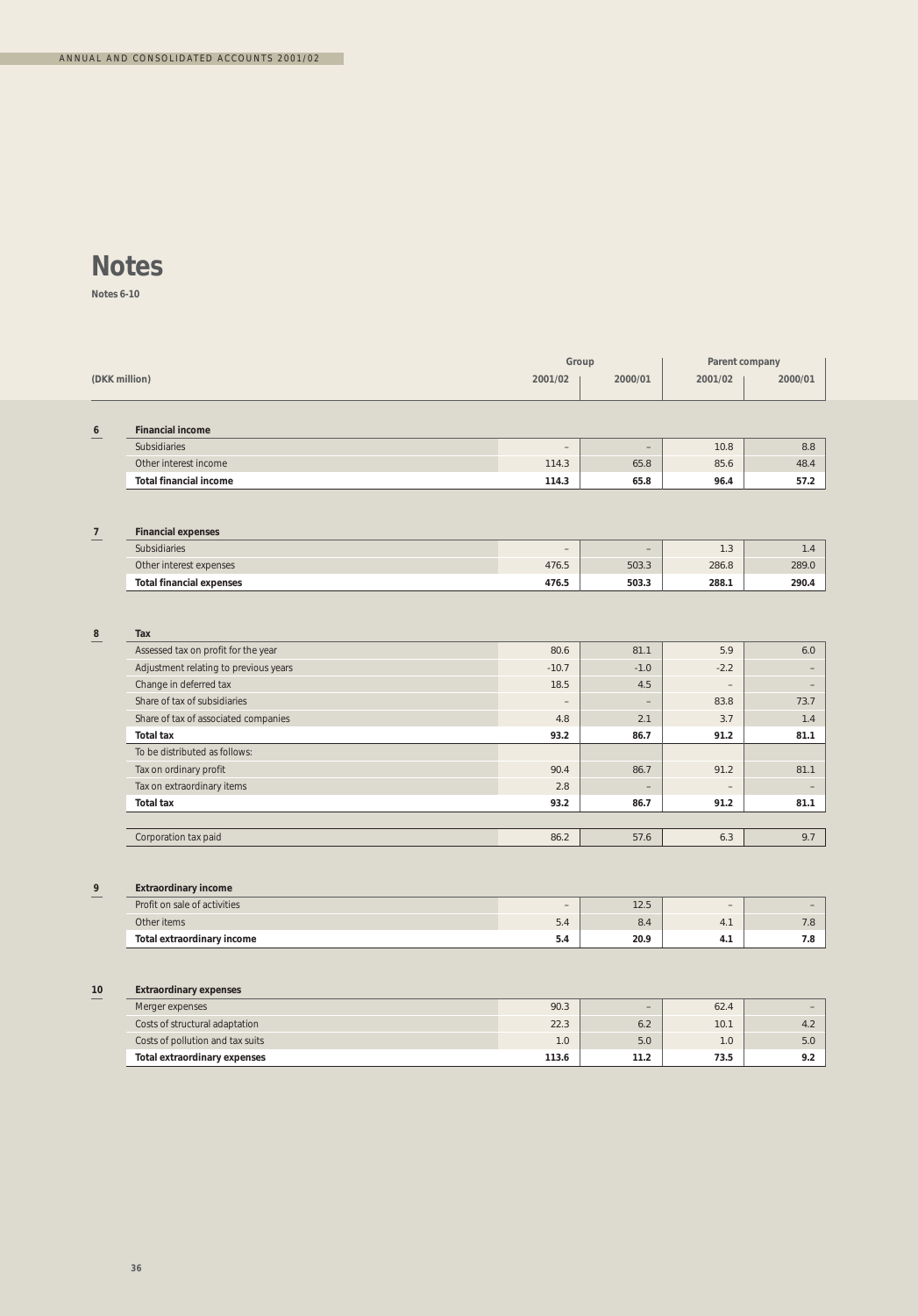**Notes 6-10**

|                |                                           | Group                    |                          | Parent company    |                          |
|----------------|-------------------------------------------|--------------------------|--------------------------|-------------------|--------------------------|
|                | (DKK million)                             |                          | 2000/01                  | 2001/02           | 2000/01                  |
| 6              | <b>Financial income</b>                   |                          |                          |                   |                          |
|                | Subsidiaries                              | $\qquad \qquad -$        | $\overline{\phantom{a}}$ | 10.8              | 8.8                      |
|                | Other interest income                     | 114.3                    | 65.8                     | 85.6              | 48.4                     |
|                | <b>Total financial income</b>             | 114.3                    | 65.8                     | 96.4              | 57.2                     |
|                |                                           |                          |                          |                   |                          |
| $\overline{7}$ | <b>Financial expenses</b><br>Subsidiaries | $\qquad \qquad -$        | $\qquad \qquad -$        | 1.3               | 1.4                      |
|                | Other interest expenses                   | 476.5                    | 503.3                    | 286.8             | 289.0                    |
|                | <b>Total financial expenses</b>           | 476.5                    | 503.3                    | 288.1             | 290.4                    |
|                |                                           |                          |                          |                   |                          |
| $\bf 8$        | Tax                                       |                          |                          |                   |                          |
|                | Assessed tax on profit for the year       | 80.6                     | 81.1                     | 5.9               | 6.0                      |
|                | Adjustment relating to previous years     | $-10.7$                  | $-1.0$                   | $-2.2$            |                          |
|                | Change in deferred tax                    | 18.5                     | 4.5                      | $\overline{a}$    | $\overline{\phantom{0}}$ |
|                | Share of tax of subsidiaries              | $\overline{\phantom{a}}$ | $\overline{\phantom{0}}$ | 83.8              | 73.7                     |
|                | Share of tax of associated companies      | 4.8                      | 2.1                      | 3.7               | 1.4                      |
|                | <b>Total tax</b>                          | 93.2                     | 86.7                     | 91.2              | 81.1                     |
|                | To be distributed as follows:             |                          |                          |                   |                          |
|                | Tax on ordinary profit                    | 90.4                     | 86.7                     | 91.2              | 81.1                     |
|                | Tax on extraordinary items                | 2.8                      |                          |                   |                          |
|                | <b>Total tax</b>                          | 93.2                     | 86.7                     | 91.2              | 81.1                     |
|                |                                           |                          |                          |                   |                          |
|                | Corporation tax paid                      | 86.2                     | 57.6                     | 6.3               | 9.7                      |
|                |                                           |                          |                          |                   |                          |
| 9              | <b>Extraordinary income</b>               |                          |                          |                   |                          |
|                | Profit on sale of activities              | $\overline{\phantom{a}}$ | 12.5                     | $\qquad \qquad -$ | $\overline{\phantom{a}}$ |
|                | Other items                               | 5.4                      | 8.4                      | 4.1               | 7.8                      |
|                | Total extraordinary income                | 5.4                      | 20.9                     | 4.1               | 7.8                      |
|                |                                           |                          |                          |                   |                          |
| 10             | <b>Extraordinary expenses</b>             |                          |                          |                   |                          |
|                | Merger expenses                           | 90.3                     | $\overline{\phantom{a}}$ | 62.4              | $\overline{\phantom{a}}$ |
|                | Costs of structural adaptation            | 22.3                     | 6.2                      | 10.1              | 4.2                      |
|                | Costs of pollution and tax suits          | 1.0                      | 5.0                      | 1.0               | 5.0                      |
|                | <b>Total extraordinary expenses</b>       | 113.6                    | 11.2                     | 73.5              | 9.2                      |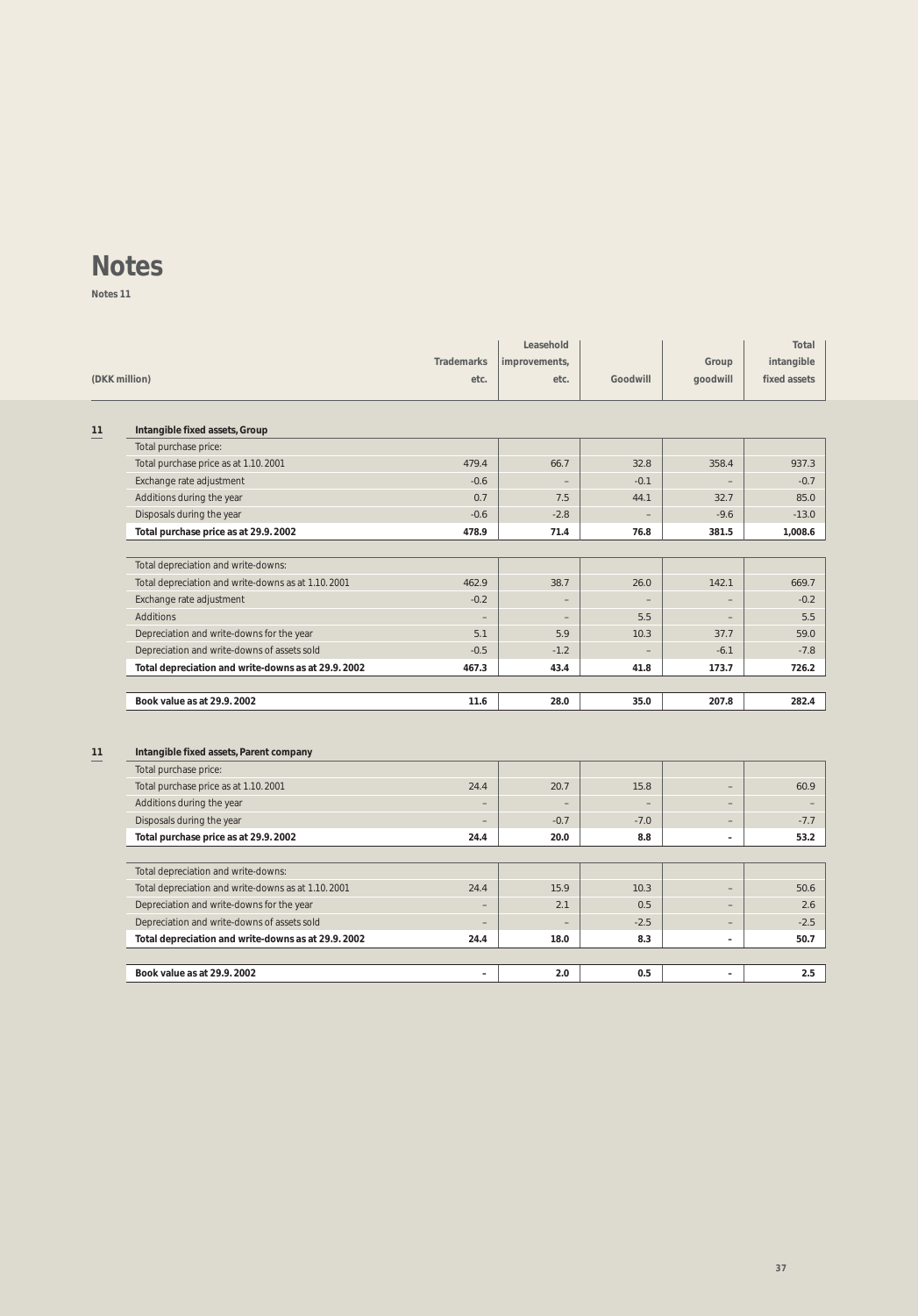**Notes 11**

| (DKK million) |                                                    | <b>Trademarks</b><br>etc. | Leasehold<br>improvements,<br>etc. | Goodwill                 | Group<br>goodwill        | Total<br>intangible<br>fixed assets |
|---------------|----------------------------------------------------|---------------------------|------------------------------------|--------------------------|--------------------------|-------------------------------------|
| 11            | Intangible fixed assets, Group                     |                           |                                    |                          |                          |                                     |
|               | Total purchase price:                              |                           |                                    |                          |                          |                                     |
|               | Total purchase price as at 1.10.2001               | 479.4                     | 66.7                               | 32.8                     | 358.4                    | 937.3                               |
|               | Exchange rate adjustment                           | $-0.6$                    |                                    | $-0.1$                   |                          | $-0.7$                              |
|               | Additions during the year                          | 0.7                       | 7.5                                | 44.1                     | 32.7                     | 85.0                                |
|               | Disposals during the year                          | $-0.6$                    | $-2.8$                             | $\overline{\phantom{a}}$ | $-9.6$                   | $-13.0$                             |
|               | Total purchase price as at 29.9. 2002              | 478.9                     | 71.4                               | 76.8                     | 381.5                    | 1,008.6                             |
|               | Total depreciation and write-downs:                |                           |                                    |                          |                          |                                     |
|               | Total depreciation and write-downs as at 1.10.2001 | 462.9                     | 38.7                               | 26.0                     | 142.1                    | 669.7                               |
|               | Exchange rate adjustment                           | $-0.2$                    |                                    |                          | $\overline{\phantom{a}}$ | $-0.2$                              |
|               | Additions                                          |                           |                                    | 5.5                      |                          | 5.5                                 |
|               | Depreciation and write-downs for the year          | 5.1                       | 5.9                                | 10.3                     | 37.7                     | 59.0                                |
|               | Depreciation and write-downs of assets sold        | $-0.5$                    | $-1.2$                             |                          | $-6.1$                   | $-7.8$                              |
|               | Total depreciation and write-downs as at 29.9.2002 | 467.3                     | 43.4                               | 41.8                     | 173.7                    | 726.2                               |
|               | Book value as at 29.9, 2002                        | 11.6                      | 28.0                               | 35.0                     | 207.8                    | 282.4                               |
| 11            | Intangible fixed assets, Parent company            |                           |                                    |                          |                          |                                     |
|               | Total purchase price:                              |                           |                                    |                          |                          |                                     |
|               | Total purchase price as at 1.10.2001               | 24.4                      | 20.7                               | 15.8                     | $\qquad \qquad -$        | 60.9                                |
|               | Additions during the year                          |                           |                                    | ÷                        | $\overline{\phantom{a}}$ |                                     |
|               | Disposals during the year                          |                           | $-0.7$                             | $-7.0$                   | $\qquad \qquad -$        | $-7.7$                              |
|               | Total purchase price as at 29.9. 2002              | 24.4                      | 20.0                               | 8.8                      | $\overline{\phantom{a}}$ | 53.2                                |
|               | Total depreciation and write-downs:                |                           |                                    |                          |                          |                                     |
|               | Total depreciation and write-downs as at 1.10.2001 | 24.4                      | 15.9                               | 10.3                     | $\overline{\phantom{a}}$ | 50.6                                |
|               | Depreciation and write-downs for the year          |                           | 2.1                                | 0.5                      | $\qquad \qquad -$        | 2.6                                 |
|               | Depreciation and write-downs of assets sold        | $\overline{\phantom{0}}$  |                                    | $-2.5$                   |                          | $-2.5$                              |
|               | Total depreciation and write-downs as at 29.9.2002 | 24.4                      | 18.0                               | 8.3                      | $\overline{\phantom{a}}$ | 50.7                                |
|               | Book value as at 29.9, 2002                        | $\overline{\phantom{a}}$  | 2.0                                | 0.5                      | $\overline{\phantom{a}}$ | 2.5                                 |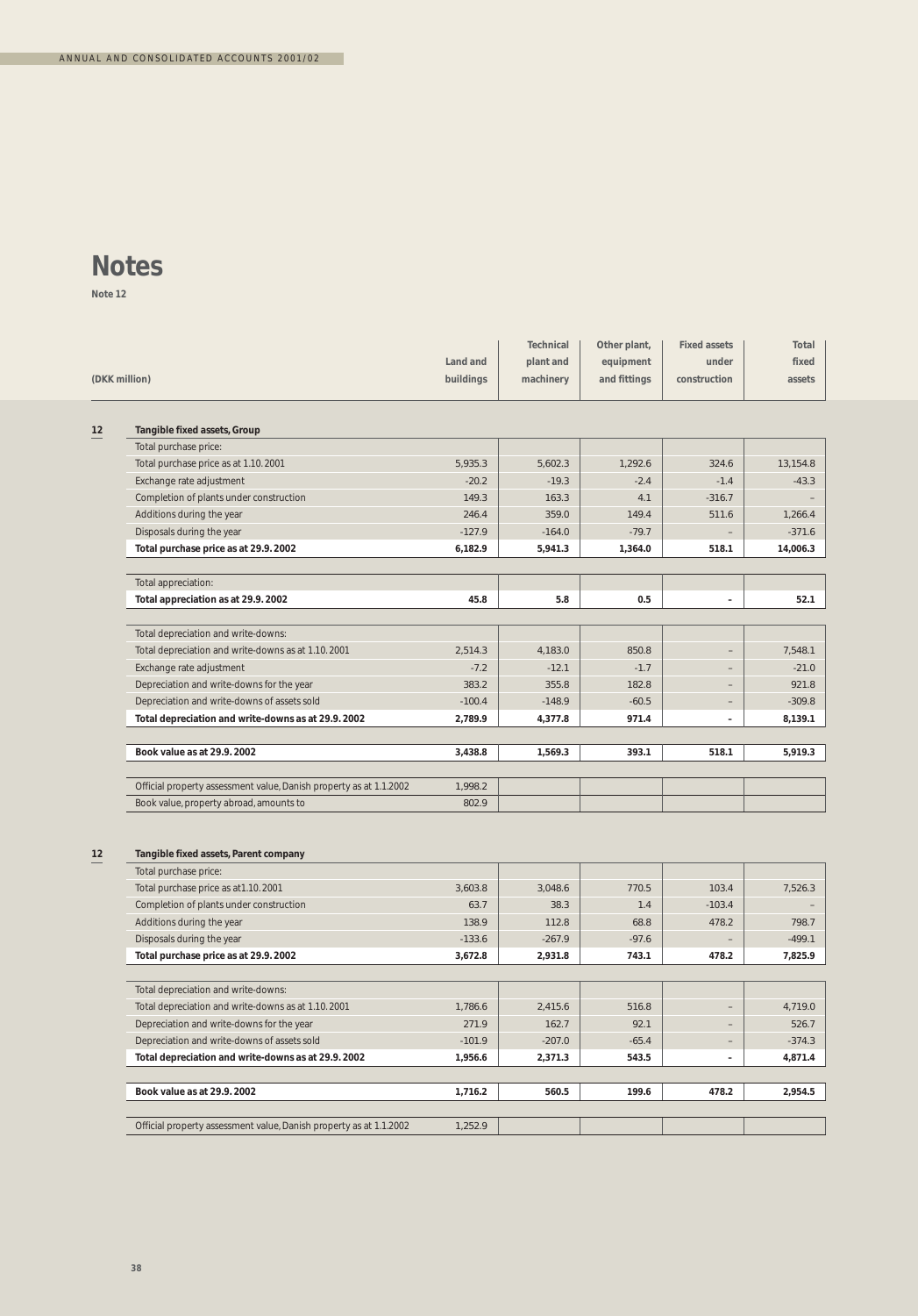**Note 12**

|    |                                                                    | Land and  | Technical<br>plant and | Other plant,<br>equipment | <b>Fixed assets</b><br>under | Total<br>fixed |
|----|--------------------------------------------------------------------|-----------|------------------------|---------------------------|------------------------------|----------------|
|    | (DKK million)                                                      | buildings | machinery              | and fittings              | construction                 | assets         |
| 12 | Tangible fixed assets, Group                                       |           |                        |                           |                              |                |
|    | Total purchase price:                                              |           |                        |                           |                              |                |
|    | Total purchase price as at 1.10.2001                               | 5,935.3   | 5,602.3                | 1,292.6                   | 324.6                        | 13,154.8       |
|    | Exchange rate adjustment                                           | $-20.2$   | $-19.3$                | $-2.4$                    | $-1.4$                       | $-43.3$        |
|    | Completion of plants under construction                            | 149.3     | 163.3                  | 4.1                       | $-316.7$                     |                |
|    | Additions during the year                                          | 246.4     | 359.0                  | 149.4                     | 511.6                        | 1,266.4        |
|    | Disposals during the year                                          | $-127.9$  | $-164.0$               | $-79.7$                   |                              | $-371.6$       |
|    | Total purchase price as at 29.9. 2002                              | 6,182.9   | 5,941.3                | 1,364.0                   | 518.1                        | 14,006.3       |
|    | Total appreciation:                                                |           |                        |                           |                              |                |
|    | Total appreciation as at 29.9.2002                                 | 45.8      | 5.8                    | 0.5                       | $\sim$                       | 52.1           |
|    | Total depreciation and write-downs:                                |           |                        |                           |                              |                |
|    | Total depreciation and write-downs as at 1.10.2001                 | 2,514.3   | 4,183.0                | 850.8                     | ٠                            | 7.548.1        |
|    | Exchange rate adjustment                                           | $-7.2$    | $-12.1$                | $-1.7$                    | $\qquad \qquad -$            | $-21.0$        |
|    | Depreciation and write-downs for the year                          | 383.2     | 355.8                  | 182.8                     | $\overline{\phantom{0}}$     | 921.8          |
|    | Depreciation and write-downs of assets sold                        | $-100.4$  | $-148.9$               | $-60.5$                   | $\qquad \qquad -$            | $-309.8$       |
|    | Total depreciation and write-downs as at 29.9.2002                 | 2,789.9   | 4,377.8                | 971.4                     | $\overline{\phantom{a}}$     | 8,139.1        |
|    | Book value as at 29.9.2002                                         | 3,438.8   | 1,569.3                | 393.1                     | 518.1                        | 5,919.3        |
|    | Official property assessment value, Danish property as at 1.1.2002 | 1,998.2   |                        |                           |                              |                |
|    | Book value, property abroad, amounts to                            | 802.9     |                        |                           |                              |                |
| 12 | Tangible fixed assets, Parent company                              |           |                        |                           |                              |                |
|    | Total purchase price:                                              |           |                        |                           |                              |                |
|    | Total purchase price as at 1.10.2001                               | 3,603.8   | 3,048.6                | 770.5                     | 103.4                        | 7,526.3        |
|    | Completion of plants under construction                            | 63.7      | 38.3                   | 1.4                       | $-103.4$                     |                |
|    | Additions during the year                                          | 138.9     | 112.8                  | 68.8                      | 478.2                        | 798.7          |
|    | Disposals during the year                                          | $-133.6$  | $-267.9$               | $-97.6$                   |                              | $-499.1$       |
|    | Total purchase price as at 29.9.2002                               | 3,672.8   | 2,931.8                | 743.1                     | 478.2                        | 7,825.9        |
|    | Total depreciation and write-downs:                                |           |                        |                           |                              |                |
|    | Total depreciation and write-downs as at 1.10.2001                 | 1,786.6   | 2.415.6                | 516.8                     | $\overline{\phantom{0}}$     | 4,719.0        |
|    | Depreciation and write-downs for the year                          | 271.9     | 162.7                  | 92.1                      | $\overline{\phantom{a}}$     | 526.7          |
|    | Depreciation and write-downs of assets sold                        | $-101.9$  | $-207.0$               | $-65.4$                   | $\overline{\phantom{a}}$     | $-374.3$       |
|    | Total depreciation and write-downs as at 29.9.2002                 | 1,956.6   | 2,371.3                | 543.5                     | $\overline{\phantom{a}}$     | 4,871.4        |
|    | Book value as at 29.9.2002                                         | 1,716.2   | 560.5                  | 199.6                     | 478.2                        | 2,954.5        |
|    | Official property assessment value, Danish property as at 1.1.2002 | 1,252.9   |                        |                           |                              |                |
|    |                                                                    |           |                        |                           |                              |                |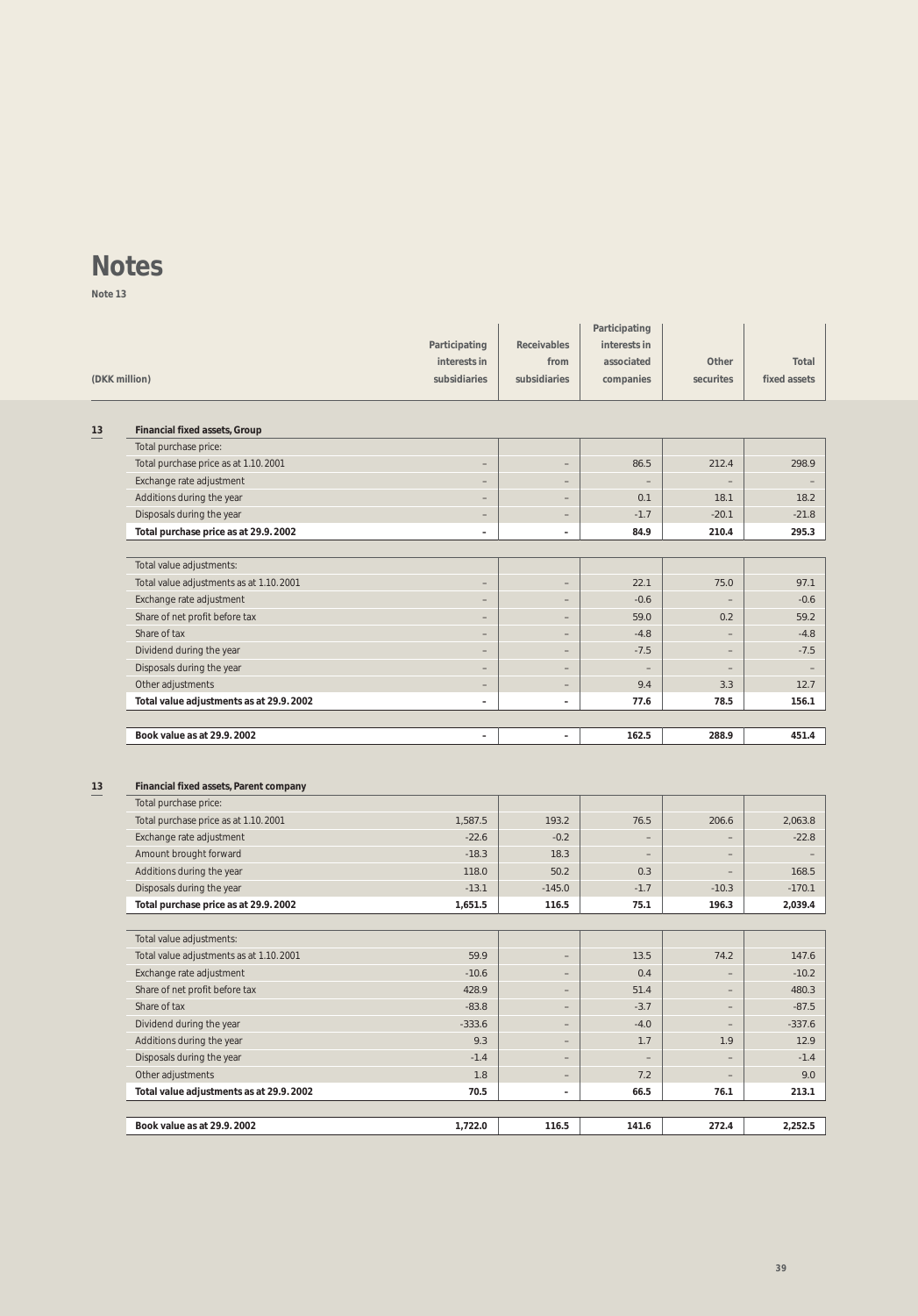**Note 13**

|    |                                                                 |                          |                          | Participating            |                          |              |
|----|-----------------------------------------------------------------|--------------------------|--------------------------|--------------------------|--------------------------|--------------|
|    |                                                                 | Participating            | <b>Receivables</b>       | interests in             |                          |              |
|    |                                                                 | interests in             | from                     | associated               | Other                    | Total        |
|    | (DKK million)                                                   | subsidiaries             | subsidiaries             | companies                | securites                | fixed assets |
|    |                                                                 |                          |                          |                          |                          |              |
| 13 | <b>Financial fixed assets, Group</b>                            |                          |                          |                          |                          |              |
|    | Total purchase price:                                           |                          |                          |                          |                          |              |
|    | Total purchase price as at 1.10.2001                            | $\overline{\phantom{0}}$ | $\overline{\phantom{a}}$ | 86.5                     | 212.4                    | 298.9        |
|    | Exchange rate adjustment                                        | -                        | $\qquad \qquad -$        | $\overline{\phantom{0}}$ |                          |              |
|    | Additions during the year                                       |                          | $\overline{\phantom{m}}$ | 0.1                      | 18.1                     | 18.2         |
|    | Disposals during the year                                       | $\overline{\phantom{m}}$ | $\overline{\phantom{a}}$ | $-1.7$                   | $-20.1$                  | $-21.8$      |
|    | Total purchase price as at 29.9. 2002                           | $\overline{\phantom{a}}$ | $\overline{\phantom{a}}$ | 84.9                     | 210.4                    | 295.3        |
|    | Total value adjustments:                                        |                          |                          |                          |                          |              |
|    | Total value adjustments as at 1.10.2001                         | $\qquad \qquad -$        | $\qquad \qquad -$        | 22.1                     | 75.0                     | 97.1         |
|    | Exchange rate adjustment                                        | $\qquad \qquad -$        | $\overline{\phantom{m}}$ | $-0.6$                   | $\qquad \qquad -$        | $-0.6$       |
|    | Share of net profit before tax                                  | $\overline{\phantom{a}}$ | $\qquad \qquad -$        | 59.0                     | 0.2                      | 59.2         |
|    | Share of tax                                                    | -                        | $\qquad \qquad -$        | $-4.8$                   |                          | $-4.8$       |
|    | Dividend during the year                                        |                          | $\overline{\phantom{m}}$ | $-7.5$                   | ٠                        | $-7.5$       |
|    | Disposals during the year                                       | $\qquad \qquad -$        | $\qquad \qquad -$        | $\qquad \qquad -$        | $\overline{\phantom{a}}$ |              |
|    | Other adjustments                                               | -                        | -                        | 9.4                      | 3.3                      | 12.7         |
|    | Total value adjustments as at 29.9.2002                         | $\overline{\phantom{0}}$ | $\qquad \qquad -$        | 77.6                     | 78.5                     | 156.1        |
|    |                                                                 |                          |                          |                          |                          |              |
|    | Book value as at 29.9, 2002                                     | $\overline{a}$           | $\overline{\phantom{a}}$ | 162.5                    | 288.9                    | 451.4        |
| 13 | Financial fixed assets, Parent company<br>Total purchase price: |                          |                          |                          |                          |              |
|    | Total purchase price as at 1.10.2001                            | 1,587.5                  | 193.2                    | 76.5                     | 206.6                    | 2,063.8      |
|    | Exchange rate adjustment                                        | $-22.6$                  | $-0.2$                   | $\overline{\phantom{0}}$ |                          | $-22.8$      |
|    | Amount brought forward                                          | $-18.3$                  | 18.3                     | $\overline{\phantom{m}}$ | ٠                        |              |
|    | Additions during the year                                       | 118.0                    | 50.2                     | 0.3                      | ٠                        | 168.5        |
|    | Disposals during the year                                       | $-13.1$                  | $-145.0$                 | $-1.7$                   | $-10.3$                  | $-170.1$     |
|    | Total purchase price as at 29.9. 2002                           | 1,651.5                  | 116.5                    | 75.1                     | 196.3                    | 2,039.4      |
|    |                                                                 |                          |                          |                          |                          |              |
|    | Total value adjustments:                                        |                          |                          |                          |                          |              |
|    | Total value adjustments as at 1.10.2001                         | 59.9                     | $\overline{\phantom{m}}$ | 13.5                     | 74.2                     | 147.6        |
|    | Exchange rate adjustment                                        | $-10.6$                  | $\overline{\phantom{m}}$ | 0.4                      |                          | $-10.2$      |
|    | Share of net profit before tax                                  | 428.9                    | -                        | 51.4                     |                          | 480.3        |
|    | Share of tax                                                    | $-83.8$                  |                          | $-3.7$                   |                          | $-87.5$      |
|    | Dividend during the year                                        | $-333.6$                 | $\overline{\phantom{a}}$ | $-4.0$                   | $\overline{\phantom{a}}$ | $-337.6$     |
|    | Additions during the year                                       | 9.3                      | -                        | 1.7                      | 1.9                      | 12.9         |
|    | Disposals during the year                                       | $-1.4$                   | $\overline{\phantom{a}}$ | $\overline{\phantom{a}}$ | $\overline{\phantom{a}}$ | $-1.4$       |
|    | Other adjustments                                               | 1.8                      | $\overline{\phantom{a}}$ | 7.2                      | $\overline{\phantom{a}}$ | 9.0          |
|    | Total value adjustments as at 29.9.2002                         | 70.5                     | $\overline{\phantom{a}}$ | 66.5                     | 76.1                     | 213.1        |
|    | Book value as at 29.9.2002                                      | 1,722.0                  | 116.5                    | 141.6                    | 272.4                    | 2,252.5      |
|    |                                                                 |                          |                          |                          |                          |              |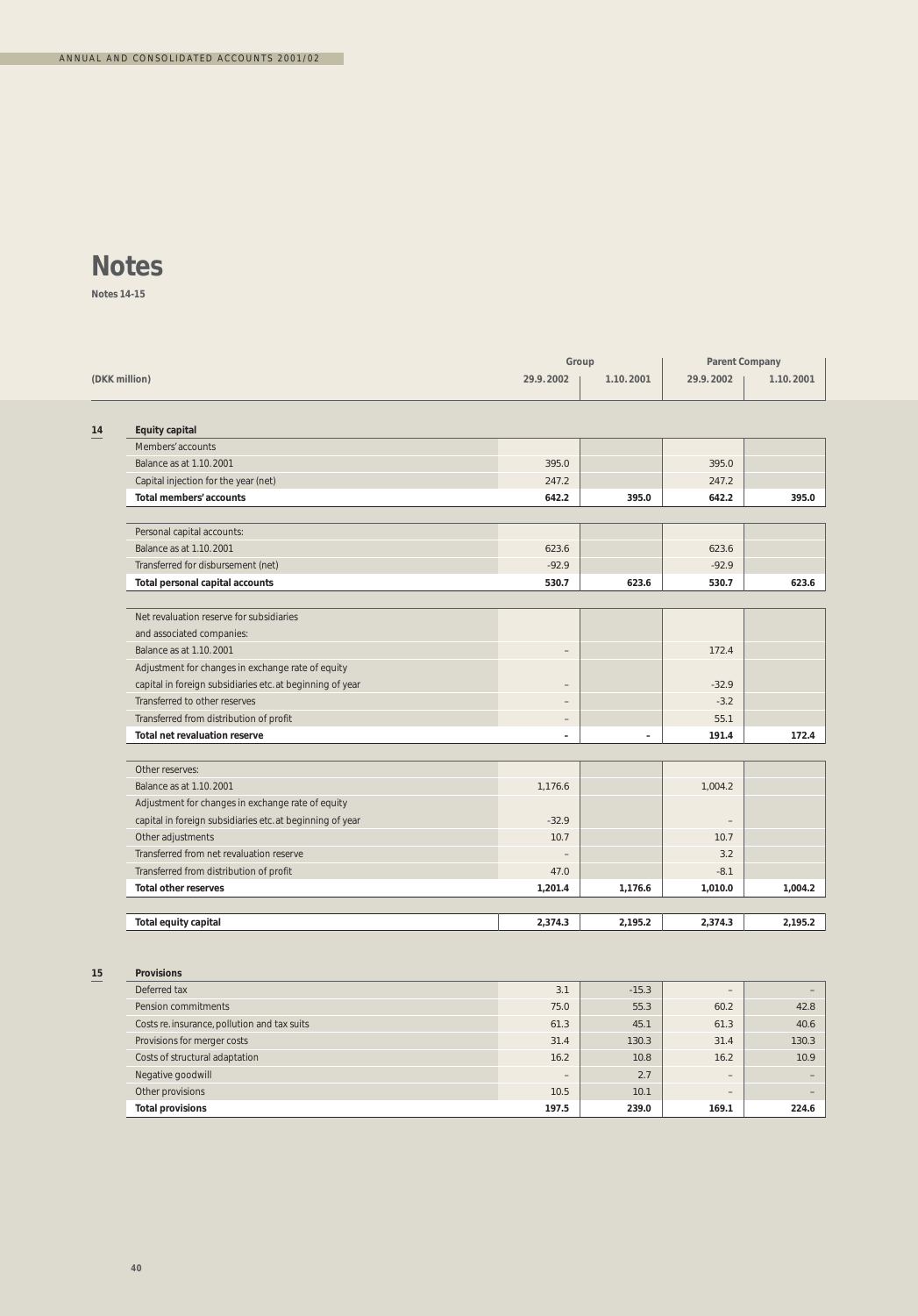**Notes 14-15**

|    |                                                           |                          | Group                    | <b>Parent Company</b> |           |
|----|-----------------------------------------------------------|--------------------------|--------------------------|-----------------------|-----------|
|    | (DKK million)                                             | 29.9.2002                | 1.10.2001                | 29.9.2002             | 1.10.2001 |
|    |                                                           |                          |                          |                       |           |
| 14 | <b>Equity capital</b>                                     |                          |                          |                       |           |
|    | Members' accounts                                         |                          |                          |                       |           |
|    | Balance as at 1.10.2001                                   | 395.0                    |                          | 395.0                 |           |
|    | Capital injection for the year (net)                      | 247.2                    |                          | 247.2                 |           |
|    | Total members' accounts                                   | 642.2                    | 395.0                    | 642.2                 | 395.0     |
|    | Personal capital accounts:                                |                          |                          |                       |           |
|    | Balance as at 1.10.2001                                   | 623.6                    |                          | 623.6                 |           |
|    | Transferred for disbursement (net)                        | $-92.9$                  |                          | $-92.9$               |           |
|    | Total personal capital accounts                           | 530.7                    | 623.6                    | 530.7                 | 623.6     |
|    |                                                           |                          |                          |                       |           |
|    | Net revaluation reserve for subsidiaries                  |                          |                          |                       |           |
|    | and associated companies:                                 |                          |                          |                       |           |
|    | Balance as at 1.10, 2001                                  | $\overline{\phantom{0}}$ |                          | 172.4                 |           |
|    | Adjustment for changes in exchange rate of equity         |                          |                          |                       |           |
|    | capital in foreign subsidiaries etc. at beginning of year | $\qquad \qquad -$        |                          | $-32.9$               |           |
|    | Transferred to other reserves                             | $\qquad \qquad -$        |                          | $-3.2$                |           |
|    | Transferred from distribution of profit                   | $\qquad \qquad -$        |                          | 55.1                  |           |
|    | <b>Total net revaluation reserve</b>                      | $\overline{\phantom{0}}$ | $\overline{\phantom{a}}$ | 191.4                 | 172.4     |
|    | Other reserves:                                           |                          |                          |                       |           |
|    | Balance as at 1.10.2001                                   | 1,176.6                  |                          | 1,004.2               |           |
|    | Adjustment for changes in exchange rate of equity         |                          |                          |                       |           |
|    | capital in foreign subsidiaries etc. at beginning of year | $-32.9$                  |                          |                       |           |
|    | Other adjustments                                         | 10.7                     |                          | 10.7                  |           |
|    | Transferred from net revaluation reserve                  |                          |                          | 3.2                   |           |
|    | Transferred from distribution of profit                   | 47.0                     |                          | $-8.1$                |           |
|    | <b>Total other reserves</b>                               | 1,201.4                  | 1,176.6                  | 1,010.0               | 1,004.2   |
|    |                                                           |                          |                          |                       |           |
|    | Total equity capital                                      | 2,374.3                  | 2,195.2                  | 2,374.3               | 2,195.2   |
|    |                                                           |                          |                          |                       |           |
| 15 | <b>Provisions</b>                                         |                          |                          |                       |           |
|    | Deferred tay                                              | 31                       | $-15.3$                  |                       |           |

| <b>FIUVISIUIS</b>                            |       |         |                   |       |
|----------------------------------------------|-------|---------|-------------------|-------|
| Deferred tax                                 | 3.1   | $-15.3$ | $\qquad \qquad =$ |       |
| Pension commitments                          | 75.0  | 55.3    | 60.2              | 42.8  |
| Costs re. insurance, pollution and tax suits | 61.3  | 45.1    | 61.3              | 40.6  |
| Provisions for merger costs                  | 31.4  | 130.3   | 31.4              | 130.3 |
| Costs of structural adaptation               | 16.2  | 10.8    | 16.2              | 10.9  |
| Negative goodwill                            | $-$   | 2.7     | $\qquad \qquad -$ |       |
| Other provisions                             | 10.5  | 10.1    | $\qquad \qquad =$ |       |
| <b>Total provisions</b>                      | 197.5 | 239.0   | 169.1             | 224.6 |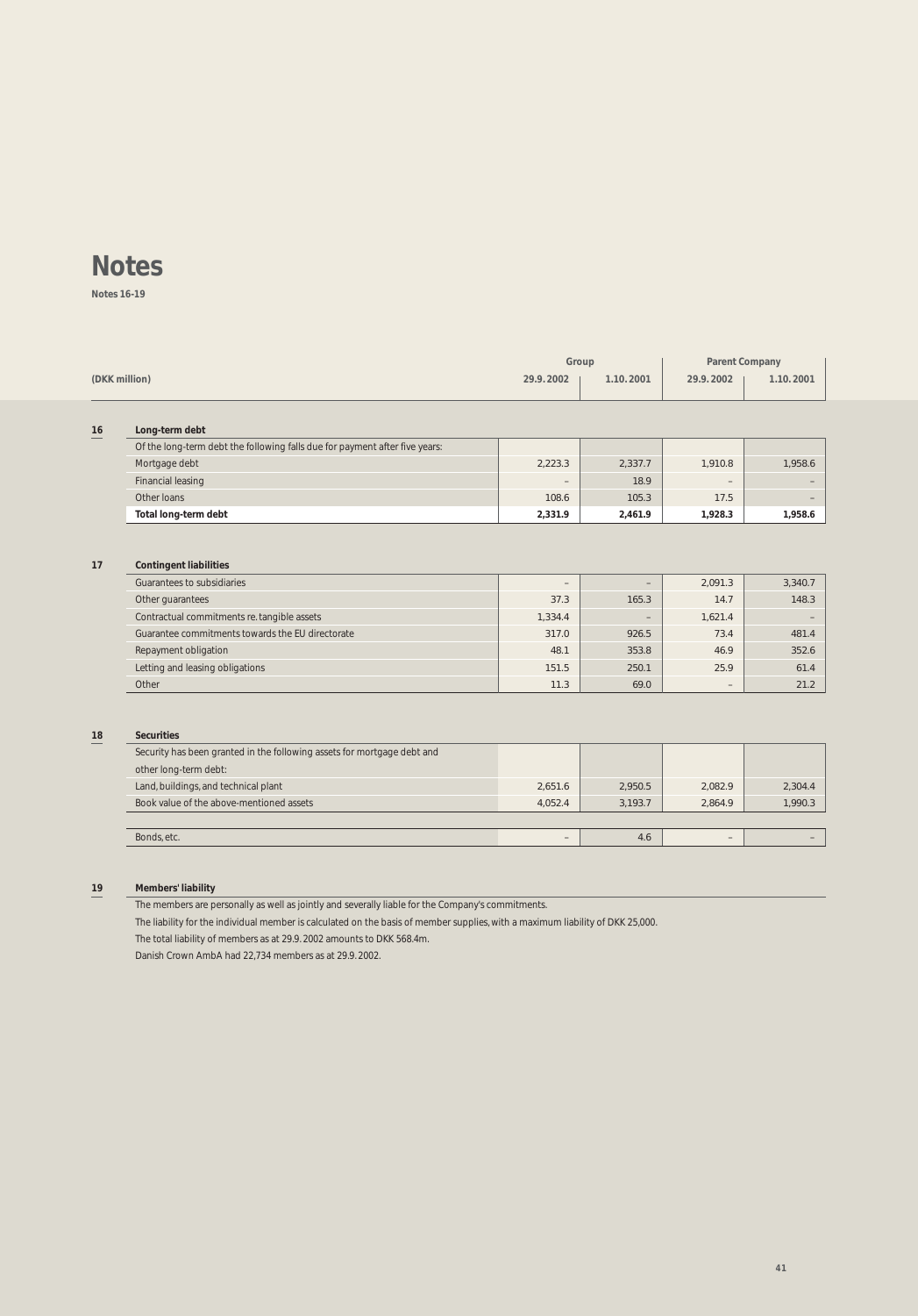**Notes 16-19**

|    |                                                                             | Group                    |                          | <b>Parent Company</b> |           |
|----|-----------------------------------------------------------------------------|--------------------------|--------------------------|-----------------------|-----------|
|    | (DKK million)                                                               | 29.9.2002                | 1.10.2001                | 29.9.2002             | 1.10.2001 |
|    |                                                                             |                          |                          |                       |           |
| 16 | Long-term debt                                                              |                          |                          |                       |           |
|    | Of the long-term debt the following falls due for payment after five years: |                          |                          |                       |           |
|    | Mortgage debt                                                               | 2,223.3                  | 2,337.7                  | 1,910.8               | 1,958.6   |
|    | <b>Financial leasing</b>                                                    |                          | 18.9                     |                       |           |
|    | Other loans                                                                 | 108.6                    | 105.3                    | 17.5                  |           |
|    | Total long-term debt                                                        | 2,331.9                  | 2,461.9                  | 1.928.3               | 1,958.6   |
|    |                                                                             |                          |                          |                       |           |
|    |                                                                             |                          |                          |                       |           |
| 17 | <b>Contingent liabilities</b>                                               |                          |                          |                       |           |
|    | Guarantees to subsidiaries                                                  | $\overline{\phantom{a}}$ | $\overline{\phantom{m}}$ | 2,091.3               | 3,340.7   |
|    | Other guarantees                                                            | 37.3                     | 165.3                    | 14.7                  | 148.3     |
|    | Contractual commitments re. tangible assets                                 | 1,334.4                  | $\qquad \qquad -$        | 1,621.4               |           |
|    | Guarantee commitments towards the EU directorate                            | 317.0                    | 926.5                    | 73.4                  | 481.4     |
|    | Repayment obligation                                                        | 48.1                     | 353.8                    | 46.9                  | 352.6     |
|    | Letting and leasing obligations                                             | 151.5                    | 250.1                    | 25.9                  | 61.4      |
|    | Other                                                                       | 11.3                     | 69.0                     |                       | 21.2      |
|    |                                                                             |                          |                          |                       |           |
|    |                                                                             |                          |                          |                       |           |
| 18 | <b>Securities</b>                                                           |                          |                          |                       |           |
|    | Security has been granted in the following assets for mortgage debt and     |                          |                          |                       |           |
|    | other long-term debt:                                                       |                          |                          |                       |           |
|    | Land, buildings, and technical plant                                        | 2.651.6                  | 2,950.5                  | 2.082.9               | 2,304.4   |
|    | Book value of the above-mentioned assets                                    | 4,052.4                  | 3,193.7                  | 2,864.9               | 1,990.3   |
|    |                                                                             |                          |                          |                       |           |
|    | Bonds, etc.                                                                 | $\qquad \qquad -$        | 4.6                      | $\qquad \qquad -$     |           |

**19 Members' liability**

The members are personally as well as jointly and severally liable for the Company's commitments.

The liability for the individual member is calculated on the basis of member supplies, with a maximum liability of DKK 25,000.

The total liability of members as at 29.9. 2002 amounts to DKK 568.4m.

Danish Crown AmbA had 22,734 members as at 29.9. 2002.